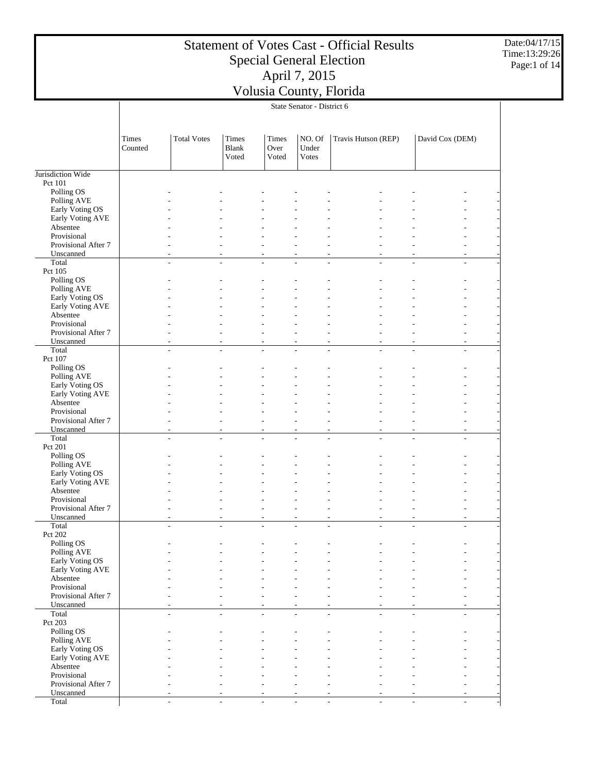Date:04/17/15 Time:13:29:26 Page:1 of 14

|                                    |                  |                    |                                |                        | State Senator - District 6 |                           |                                  |
|------------------------------------|------------------|--------------------|--------------------------------|------------------------|----------------------------|---------------------------|----------------------------------|
|                                    | Times<br>Counted | <b>Total Votes</b> | Times<br><b>Blank</b><br>Voted | Times<br>Over<br>Voted | NO. Of<br>Under<br>Votes   | Travis Hutson (REP)       | David Cox (DEM)                  |
|                                    |                  |                    |                                |                        |                            |                           |                                  |
| Jurisdiction Wide                  |                  |                    |                                |                        |                            |                           |                                  |
| Pct 101<br>Polling OS              |                  |                    |                                |                        |                            |                           |                                  |
| Polling AVE                        |                  |                    |                                |                        |                            |                           |                                  |
| Early Voting OS                    |                  |                    |                                |                        |                            |                           |                                  |
| Early Voting AVE                   |                  |                    |                                |                        |                            |                           |                                  |
| Absentee<br>Provisional            |                  |                    |                                |                        |                            |                           |                                  |
| Provisional After 7                |                  |                    |                                |                        |                            |                           |                                  |
| Unscanned                          |                  | ٠                  | $\overline{a}$                 | ÷                      | ÷                          | ٠<br>$\overline{a}$       | ÷,<br>÷.                         |
| Total                              |                  | $\overline{a}$     | $\overline{a}$                 | L,                     |                            | $\overline{a}$            | $\overline{a}$<br>÷,             |
| Pct 105<br>Polling OS              |                  |                    |                                |                        |                            |                           |                                  |
| Polling AVE                        |                  |                    |                                |                        |                            |                           |                                  |
| Early Voting OS                    |                  |                    |                                |                        |                            |                           |                                  |
| Early Voting AVE                   |                  |                    |                                |                        |                            |                           |                                  |
| Absentee                           |                  |                    |                                |                        |                            |                           |                                  |
| Provisional<br>Provisional After 7 |                  | ÷                  |                                | ÷                      | ٠                          | ٠<br>÷                    | ÷.<br>÷.                         |
| Unscanned                          |                  |                    |                                | $\overline{a}$         |                            | ÷,                        | ٠                                |
| Total                              |                  | ÷                  | $\overline{\phantom{a}}$       | $\overline{a}$         | ÷.                         | L.<br>÷                   | $\overline{a}$<br>÷              |
| Pct 107                            |                  |                    |                                |                        |                            |                           |                                  |
| Polling OS<br>Polling AVE          |                  |                    |                                |                        |                            |                           |                                  |
| Early Voting OS                    |                  |                    |                                |                        |                            |                           |                                  |
| Early Voting AVE                   |                  |                    |                                |                        |                            |                           |                                  |
| Absentee                           |                  |                    |                                |                        |                            |                           |                                  |
| Provisional                        |                  |                    |                                |                        |                            |                           |                                  |
| Provisional After 7<br>Unscanned   |                  | $\overline{a}$     | $\sim$                         | ٠<br>٠                 | ÷                          | ٠<br>÷.<br>$\overline{a}$ | $\overline{a}$<br>$\overline{a}$ |
| Total                              |                  | L,                 | $\overline{a}$                 | L,                     |                            |                           | L.<br>÷                          |
| Pct 201                            |                  |                    |                                |                        |                            |                           |                                  |
| Polling OS                         |                  |                    |                                |                        |                            |                           |                                  |
| Polling AVE<br>Early Voting OS     |                  |                    |                                |                        |                            |                           |                                  |
| Early Voting AVE                   |                  |                    |                                |                        |                            |                           |                                  |
| Absentee                           |                  |                    |                                |                        |                            |                           |                                  |
| Provisional                        |                  |                    |                                |                        |                            |                           |                                  |
| Provisional After 7<br>Unscanned   |                  | ÷                  | ä,                             | ٠                      | ÷                          | ٠<br>$\overline{a}$       | ÷,<br>$\overline{\phantom{a}}$   |
| Total                              |                  | L,                 | $\overline{a}$                 | L,                     | ÷                          | L,<br>$\overline{a}$      | ÷,<br>÷,                         |
| Pct 202                            |                  |                    |                                |                        |                            |                           |                                  |
| Polling OS                         |                  |                    |                                |                        |                            |                           |                                  |
| Polling AVE<br>Early Voting OS     |                  |                    |                                |                        |                            |                           |                                  |
| Early Voting AVE                   |                  |                    |                                |                        |                            |                           |                                  |
| Absentee                           |                  |                    |                                |                        |                            |                           |                                  |
| Provisional                        |                  |                    |                                |                        |                            |                           |                                  |
| Provisional After 7                |                  |                    |                                |                        |                            |                           |                                  |
| Unscanned<br>Total                 |                  | ÷.                 | $\overline{a}$                 | L,                     | ÷                          | L.<br>÷                   | ÷,<br>÷                          |
| Pct 203                            |                  |                    |                                |                        |                            |                           |                                  |
| Polling OS                         |                  |                    |                                |                        |                            |                           |                                  |
| Polling AVE                        |                  |                    |                                |                        |                            |                           |                                  |
| Early Voting OS                    |                  |                    |                                |                        |                            |                           |                                  |
| Early Voting AVE<br>Absentee       |                  |                    |                                |                        |                            |                           |                                  |
| Provisional                        |                  |                    |                                |                        |                            |                           |                                  |
| Provisional After 7                |                  |                    |                                |                        |                            |                           |                                  |
| Unscanned                          |                  |                    |                                |                        |                            |                           |                                  |

- - - - - - - - -

Total

 $\overline{\phantom{a}}$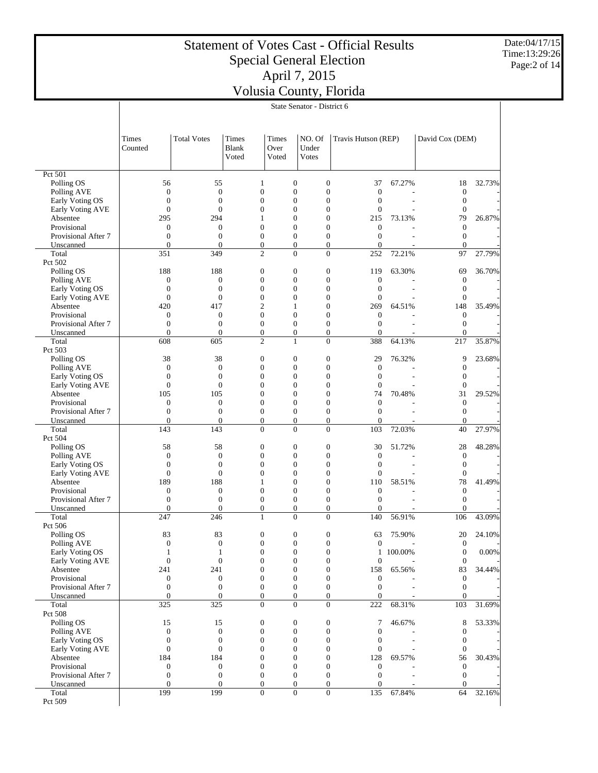Date:04/17/15 Time:13:29:26 Page:2 of 14

|                                | State Senator - District 6       |                                      |                                      |                                  |                                      |                                  |         |                                      |        |  |
|--------------------------------|----------------------------------|--------------------------------------|--------------------------------------|----------------------------------|--------------------------------------|----------------------------------|---------|--------------------------------------|--------|--|
|                                |                                  |                                      |                                      |                                  |                                      |                                  |         |                                      |        |  |
|                                |                                  |                                      |                                      |                                  |                                      |                                  |         |                                      |        |  |
|                                | <b>Times</b>                     | <b>Total Votes</b>                   | Times                                | Times                            | NO. Of                               | Travis Hutson (REP)              |         | David Cox (DEM)                      |        |  |
|                                | Counted                          |                                      | Blank                                | Over                             | Under                                |                                  |         |                                      |        |  |
|                                |                                  |                                      | Voted                                | Voted                            | <b>Votes</b>                         |                                  |         |                                      |        |  |
| Pct 501                        |                                  |                                      |                                      |                                  |                                      |                                  |         |                                      |        |  |
| Polling OS                     | 56                               | 55                                   | 1                                    | $\boldsymbol{0}$                 | $\boldsymbol{0}$                     | 37                               | 67.27%  | 18                                   | 32.73% |  |
| Polling AVE                    | $\boldsymbol{0}$                 | $\overline{0}$                       | $\boldsymbol{0}$                     | $\overline{0}$                   | $\boldsymbol{0}$                     | $\overline{0}$                   |         | $\boldsymbol{0}$                     |        |  |
| Early Voting OS                | $\overline{0}$                   | $\overline{0}$                       | $\overline{0}$                       | $\theta$                         | $\overline{0}$                       | $\overline{0}$                   |         | $\boldsymbol{0}$                     |        |  |
| Early Voting AVE<br>Absentee   | $\theta$<br>295                  | $\overline{0}$<br>294                | $\boldsymbol{0}$<br>1                | $\overline{0}$<br>$\theta$       | $\boldsymbol{0}$<br>$\overline{0}$   | $\boldsymbol{0}$<br>215          | 73.13%  | $\boldsymbol{0}$<br>79               | 26.87% |  |
| Provisional                    | $\mathbf{0}$                     | $\boldsymbol{0}$                     | $\boldsymbol{0}$                     | $\overline{0}$                   | $\overline{0}$                       | 0                                |         | $\boldsymbol{0}$                     |        |  |
| Provisional After 7            | $\overline{0}$                   | $\overline{0}$                       | $\boldsymbol{0}$                     | $\mathbf{0}$                     | $\overline{0}$                       | $\overline{0}$                   |         | $\boldsymbol{0}$                     |        |  |
| Unscanned                      | $\overline{0}$                   | $\mathbf{0}$                         | $\boldsymbol{0}$                     | $\boldsymbol{0}$                 | $\overline{0}$                       | $\boldsymbol{0}$                 |         | $\mathbf{0}$                         |        |  |
| Total                          | 351                              | 349                                  | $\overline{c}$                       | $\overline{0}$                   | $\overline{0}$                       | 252                              | 72.21%  | 97                                   | 27.79% |  |
| Pct 502                        |                                  |                                      |                                      |                                  |                                      |                                  |         |                                      | 36.70% |  |
| Polling OS<br>Polling AVE      | 188<br>$\boldsymbol{0}$          | 188<br>$\boldsymbol{0}$              | $\boldsymbol{0}$<br>$\boldsymbol{0}$ | $\mathbf{0}$<br>$\overline{0}$   | $\boldsymbol{0}$<br>$\boldsymbol{0}$ | 119<br>$\boldsymbol{0}$          | 63.30%  | 69<br>$\boldsymbol{0}$               |        |  |
| Early Voting OS                | $\overline{0}$                   | $\overline{0}$                       | $\overline{0}$                       | $\mathbf{0}$                     | $\overline{0}$                       | $\overline{0}$                   |         | $\boldsymbol{0}$                     |        |  |
| Early Voting AVE               | $\mathbf{0}$                     | $\overline{0}$                       | $\boldsymbol{0}$                     | $\overline{0}$                   | $\overline{0}$                       | $\overline{0}$                   |         | $\boldsymbol{0}$                     |        |  |
| Absentee                       | 420                              | 417                                  | $\mathfrak{2}$                       | 1                                | $\overline{0}$                       | 269                              | 64.51%  | 148                                  | 35.49% |  |
| Provisional                    | $\boldsymbol{0}$                 | $\boldsymbol{0}$                     | $\boldsymbol{0}$                     | $\mathbf{0}$                     | $\boldsymbol{0}$                     | $\mathbf{0}$                     |         | $\boldsymbol{0}$                     |        |  |
| Provisional After 7            | $\overline{0}$<br>$\mathbf{0}$   | $\overline{0}$<br>$\overline{0}$     | $\boldsymbol{0}$<br>$\boldsymbol{0}$ | $\mathbf{0}$<br>$\boldsymbol{0}$ | $\boldsymbol{0}$<br>$\overline{0}$   | $\overline{0}$<br>$\overline{0}$ |         | $\boldsymbol{0}$<br>$\overline{0}$   |        |  |
| Unscanned<br>Total             | 608                              | 605                                  | $\overline{2}$                       | $\mathbf{1}$                     | $\overline{0}$                       | 388                              | 64.13%  | 217                                  | 35.87% |  |
| Pct 503                        |                                  |                                      |                                      |                                  |                                      |                                  |         |                                      |        |  |
| Polling OS                     | 38                               | 38                                   | $\boldsymbol{0}$                     | $\mathbf{0}$                     | $\boldsymbol{0}$                     | 29                               | 76.32%  | 9                                    | 23.68% |  |
| Polling AVE                    | $\boldsymbol{0}$                 | $\overline{0}$                       | $\boldsymbol{0}$                     | $\mathbf{0}$                     | $\boldsymbol{0}$                     | $\boldsymbol{0}$                 |         | $\boldsymbol{0}$                     |        |  |
| Early Voting OS                | $\overline{0}$                   | $\overline{0}$                       | $\overline{0}$                       | $\theta$                         | $\overline{0}$                       | $\overline{0}$                   |         | $\boldsymbol{0}$                     |        |  |
| Early Voting AVE               | $\boldsymbol{0}$                 | $\boldsymbol{0}$                     | $\boldsymbol{0}$                     | $\overline{0}$                   | $\boldsymbol{0}$                     | $\boldsymbol{0}$                 |         | $\boldsymbol{0}$                     |        |  |
| Absentee<br>Provisional        | 105<br>$\mathbf{0}$              | 105<br>$\boldsymbol{0}$              | $\overline{0}$<br>$\boldsymbol{0}$   | $\theta$<br>$\overline{0}$       | $\overline{0}$<br>$\boldsymbol{0}$   | 74<br>$\boldsymbol{0}$           | 70.48%  | 31<br>$\boldsymbol{0}$               | 29.52% |  |
| Provisional After 7            | $\overline{0}$                   | $\overline{0}$                       | $\boldsymbol{0}$                     | $\mathbf{0}$                     | $\overline{0}$                       | $\overline{0}$                   |         | $\boldsymbol{0}$                     |        |  |
| Unscanned                      | $\mathbf{0}$                     | $\boldsymbol{0}$                     | $\boldsymbol{0}$                     | $\boldsymbol{0}$                 | $\overline{0}$                       | $\overline{0}$                   |         | $\mathbf{0}$                         |        |  |
| Total                          | 143                              | 143                                  | $\overline{0}$                       | $\overline{0}$                   | $\overline{0}$                       | 103                              | 72.03%  | 40                                   | 27.97% |  |
| Pct 504                        |                                  |                                      |                                      |                                  |                                      |                                  |         |                                      |        |  |
| Polling OS                     | 58<br>$\boldsymbol{0}$           | 58<br>$\boldsymbol{0}$               | $\boldsymbol{0}$<br>$\boldsymbol{0}$ | $\mathbf{0}$<br>$\mathbf{0}$     | $\boldsymbol{0}$<br>$\boldsymbol{0}$ | 30<br>$\boldsymbol{0}$           | 51.72%  | 28<br>$\boldsymbol{0}$               | 48.28% |  |
| Polling AVE<br>Early Voting OS | $\overline{0}$                   | $\overline{0}$                       | $\overline{0}$                       | $\theta$                         | $\overline{0}$                       | $\overline{0}$                   |         | $\boldsymbol{0}$                     |        |  |
| Early Voting AVE               | $\overline{0}$                   | $\overline{0}$                       | $\overline{0}$                       | $\overline{0}$                   | $\boldsymbol{0}$                     | $\overline{0}$                   |         | $\mathbf{0}$                         |        |  |
| Absentee                       | 189                              | 188                                  | 1                                    | $\Omega$                         | $\overline{0}$                       | 110                              | 58.51%  | 78                                   | 41.49% |  |
| Provisional                    | $\boldsymbol{0}$                 | $\boldsymbol{0}$                     | $\boldsymbol{0}$                     | $\overline{0}$                   | $\boldsymbol{0}$                     | 0                                |         | $\boldsymbol{0}$                     |        |  |
| Provisional After 7            | $\overline{0}$                   | $\overline{0}$                       | $\boldsymbol{0}$                     | $\mathbf{0}$                     | $\boldsymbol{0}$                     | $\overline{0}$                   |         | $\boldsymbol{0}$                     |        |  |
| Unscanned<br>Total             | $\overline{0}$<br>247            | $\mathbf{0}$<br>246                  | $\boldsymbol{0}$<br>$\mathbf{1}$     | $\boldsymbol{0}$<br>$\theta$     | $\overline{0}$<br>$\theta$           | $\overline{0}$<br>140            | 56.91%  | $\overline{0}$<br>106                | 43.09% |  |
| Pct 506                        |                                  |                                      |                                      |                                  |                                      |                                  |         |                                      |        |  |
|                                | 83                               | 83                                   | $\boldsymbol{0}$                     | $\boldsymbol{0}$                 | $\boldsymbol{0}$                     | 63                               | 75.90%  | 20                                   | 24.10% |  |
| Polling OS<br>Polling AVE      | $\boldsymbol{0}$                 | $\boldsymbol{0}$                     | $\boldsymbol{0}$                     | $\boldsymbol{0}$                 | $\boldsymbol{0}$                     | $\boldsymbol{0}$                 |         | $\boldsymbol{0}$                     |        |  |
| Early Voting OS                | 1                                | 1                                    | $\boldsymbol{0}$                     | $\boldsymbol{0}$                 | $\boldsymbol{0}$                     | $\mathbf{1}$                     | 100.00% | $\boldsymbol{0}$                     | 0.00%  |  |
| Early Voting AVE               | $\boldsymbol{0}$                 | $\boldsymbol{0}$                     | $\boldsymbol{0}$                     | $\boldsymbol{0}$                 | $\boldsymbol{0}$                     | $\boldsymbol{0}$                 |         | $\boldsymbol{0}$                     |        |  |
| Absentee<br>Provisional        | 241<br>$\boldsymbol{0}$          | 241<br>$\boldsymbol{0}$              | $\boldsymbol{0}$<br>$\boldsymbol{0}$ | $\mathbf{0}$<br>$\boldsymbol{0}$ | $\boldsymbol{0}$<br>$\boldsymbol{0}$ | 158<br>0                         | 65.56%  | 83<br>$\boldsymbol{0}$               | 34.44% |  |
| Provisional After 7            | $\mathbf{0}$                     | $\boldsymbol{0}$                     | $\boldsymbol{0}$                     | $\boldsymbol{0}$                 | $\boldsymbol{0}$                     | $\boldsymbol{0}$                 |         | $\boldsymbol{0}$                     |        |  |
| Unscanned                      | $\overline{0}$                   | $\boldsymbol{0}$                     | $\boldsymbol{0}$                     | $\boldsymbol{0}$                 | $\boldsymbol{0}$                     | $\boldsymbol{0}$                 |         | $\boldsymbol{0}$                     |        |  |
| Total                          | 325                              | 325                                  | $\overline{0}$                       | $\overline{0}$                   | $\overline{0}$                       | 222                              | 68.31%  | 103                                  | 31.69% |  |
| Pct 508                        |                                  |                                      |                                      |                                  |                                      |                                  |         |                                      |        |  |
| Polling OS                     | 15                               | 15                                   | $\boldsymbol{0}$                     | $\boldsymbol{0}$                 | $\boldsymbol{0}$                     | 7                                | 46.67%  | 8                                    | 53.33% |  |
| Polling AVE<br>Early Voting OS | $\boldsymbol{0}$<br>$\mathbf{0}$ | $\boldsymbol{0}$<br>$\boldsymbol{0}$ | $\boldsymbol{0}$<br>$\boldsymbol{0}$ | $\boldsymbol{0}$<br>$\mathbf{0}$ | $\boldsymbol{0}$<br>$\boldsymbol{0}$ | $\boldsymbol{0}$<br>0            |         | $\boldsymbol{0}$<br>$\boldsymbol{0}$ |        |  |
| Early Voting AVE               | $\boldsymbol{0}$                 | $\boldsymbol{0}$                     | $\boldsymbol{0}$                     | $\mathbf{0}$                     | $\boldsymbol{0}$                     | $\boldsymbol{0}$                 |         | $\boldsymbol{0}$                     |        |  |
| Absentee                       | 184                              | 184                                  | $\boldsymbol{0}$                     | 0                                | $\boldsymbol{0}$                     | 128                              | 69.57%  | 56                                   | 30.43% |  |
| Provisional                    | $\boldsymbol{0}$                 | $\boldsymbol{0}$                     | $\boldsymbol{0}$                     | $\boldsymbol{0}$                 | $\boldsymbol{0}$                     | 0                                |         | $\boldsymbol{0}$                     |        |  |
| Provisional After 7            | $\mathbf{0}$                     | $\boldsymbol{0}$                     | $\boldsymbol{0}$                     | $\boldsymbol{0}$                 | $\boldsymbol{0}$                     | $\boldsymbol{0}$                 |         | $\boldsymbol{0}$                     |        |  |
| Unscanned                      | $\boldsymbol{0}$                 | $\boldsymbol{0}$                     | $\boldsymbol{0}$                     | $\boldsymbol{0}$                 | $\boldsymbol{0}$                     | $\boldsymbol{0}$                 |         | $\mathbf{0}$                         |        |  |
| Total<br>Pct 509               | 199                              | 199                                  | $\boldsymbol{0}$                     | $\boldsymbol{0}$                 | $\boldsymbol{0}$                     | 135                              | 67.84%  | 64                                   | 32.16% |  |
|                                |                                  |                                      |                                      |                                  |                                      |                                  |         |                                      |        |  |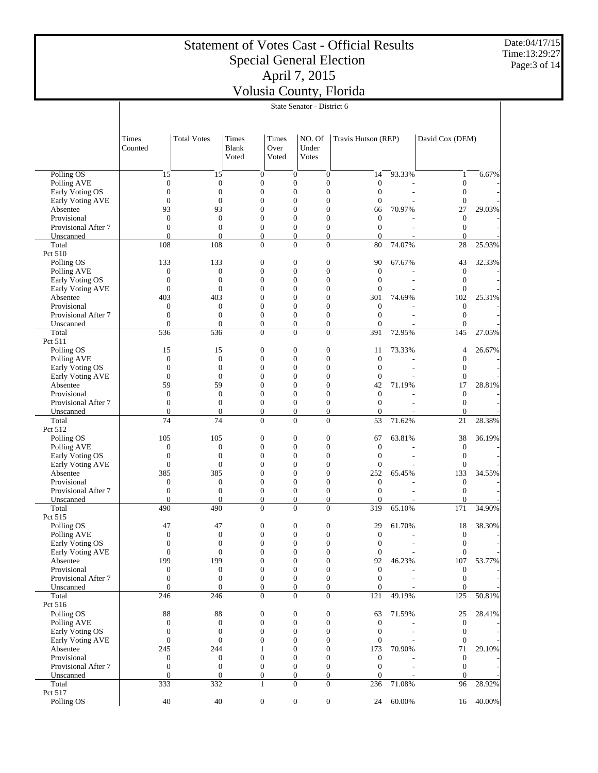Date:04/17/15 Time:13:29:27 Page:3 of 14

|                                  | State Senator - District 6       |                                    |                                  |                                    |                                    |                                    |        |                              |        |  |
|----------------------------------|----------------------------------|------------------------------------|----------------------------------|------------------------------------|------------------------------------|------------------------------------|--------|------------------------------|--------|--|
|                                  |                                  |                                    |                                  |                                    |                                    |                                    |        |                              |        |  |
|                                  | Times<br>Counted                 | <b>Total Votes</b>                 | Times<br>Blank<br>Voted          | Times<br>Over<br>Voted             | NO. Of<br>Under<br><b>Votes</b>    | Travis Hutson (REP)                |        | David Cox (DEM)              |        |  |
|                                  |                                  |                                    |                                  |                                    |                                    |                                    |        |                              |        |  |
| Polling OS<br>Polling AVE        | 15<br>$\boldsymbol{0}$           | 15<br>$\boldsymbol{0}$             | $\mathbf{0}$<br>$\boldsymbol{0}$ | $\boldsymbol{0}$<br>$\overline{0}$ | $\mathbf{0}$<br>$\overline{0}$     | 14<br>$\boldsymbol{0}$             | 93.33% | 1<br>$\boldsymbol{0}$        | 6.67%  |  |
| Early Voting OS                  | $\boldsymbol{0}$                 | $\overline{0}$                     | $\boldsymbol{0}$                 | $\overline{0}$                     | $\overline{0}$                     | $\overline{0}$                     |        | $\boldsymbol{0}$             |        |  |
| Early Voting AVE                 | $\mathbf{0}$                     | $\overline{0}$                     | $\theta$                         | $\theta$                           | $\overline{0}$                     | $\overline{0}$                     |        | $\boldsymbol{0}$             |        |  |
| Absentee                         | 93                               | 93                                 | $\overline{0}$                   | $\overline{0}$                     | $\overline{0}$                     | 66                                 | 70.97% | 27                           | 29.03% |  |
| Provisional                      | $\mathbf{0}$                     | $\mathbf{0}$                       | $\overline{0}$                   | $\theta$                           | $\overline{0}$                     | $\boldsymbol{0}$                   |        | $\boldsymbol{0}$             |        |  |
| Provisional After 7              | $\boldsymbol{0}$                 | $\overline{0}$                     | $\boldsymbol{0}$                 | $\overline{0}$                     | $\overline{0}$                     | $\overline{0}$                     |        | $\boldsymbol{0}$             |        |  |
| Unscanned                        | $\mathbf{0}$                     | $\overline{0}$                     | $\overline{0}$                   | $\overline{0}$                     | $\overline{0}$                     | $\overline{0}$                     |        | $\mathbf{0}$                 |        |  |
| Total<br>Pct 510                 | 108                              | 108                                | $\overline{0}$                   | $\theta$                           | $\overline{0}$                     | 80                                 | 74.07% | 28                           | 25.93% |  |
| Polling OS                       | 133                              | 133                                | $\boldsymbol{0}$                 | $\mathbf{0}$                       | $\boldsymbol{0}$                   | 90                                 | 67.67% | 43                           | 32.33% |  |
| Polling AVE                      | $\boldsymbol{0}$                 | $\overline{0}$                     | $\overline{0}$                   | $\theta$                           | $\overline{0}$                     | $\boldsymbol{0}$                   |        | $\boldsymbol{0}$             |        |  |
| Early Voting OS                  | $\boldsymbol{0}$                 | $\boldsymbol{0}$                   | $\overline{0}$                   | $\overline{0}$                     | $\overline{0}$                     | $\overline{0}$                     |        | $\boldsymbol{0}$             |        |  |
| Early Voting AVE                 | $\mathbf{0}$                     | $\overline{0}$                     | $\theta$                         | $\theta$                           | $\overline{0}$                     | $\overline{0}$                     |        | $\mathbf{0}$                 |        |  |
| Absentee                         | 403                              | 403                                | $\overline{0}$                   | $\overline{0}$                     | $\overline{0}$                     | 301                                | 74.69% | 102                          | 25.31% |  |
| Provisional                      | $\theta$                         | $\overline{0}$                     | $\overline{0}$                   | $\theta$                           | $\overline{0}$                     | $\boldsymbol{0}$                   |        | $\mathbf{0}$                 |        |  |
| Provisional After 7              | $\boldsymbol{0}$                 | $\boldsymbol{0}$                   | $\boldsymbol{0}$                 | $\overline{0}$                     | $\overline{0}$                     | $\overline{0}$                     |        | $\overline{0}$               |        |  |
| Unscanned                        | $\mathbf{0}$                     | $\overline{0}$                     | $\overline{0}$                   | $\overline{0}$                     | $\overline{0}$                     | $\overline{0}$                     |        | $\theta$                     | 27.05% |  |
| Total<br>Pct 511                 | 536                              | 536                                | $\boldsymbol{0}$                 | $\overline{0}$                     | $\boldsymbol{0}$                   | 391                                | 72.95% | 145                          |        |  |
| Polling OS                       | 15                               | 15                                 | $\boldsymbol{0}$                 | $\mathbf{0}$                       | $\boldsymbol{0}$                   | 11                                 | 73.33% | 4                            | 26.67% |  |
| Polling AVE                      | $\boldsymbol{0}$                 | $\overline{0}$                     | $\overline{0}$                   | $\overline{0}$                     | $\overline{0}$                     | $\mathbf{0}$                       |        | $\overline{0}$               |        |  |
| Early Voting OS                  | $\boldsymbol{0}$                 | $\overline{0}$                     | $\overline{0}$                   | $\overline{0}$                     | $\overline{0}$                     | $\overline{0}$                     |        | $\boldsymbol{0}$             |        |  |
| Early Voting AVE                 | $\mathbf{0}$                     | $\overline{0}$                     | $\theta$                         | $\theta$                           | $\overline{0}$                     | $\overline{0}$                     |        | $\overline{0}$               |        |  |
| Absentee                         | 59                               | 59                                 | $\overline{0}$                   | $\overline{0}$                     | $\overline{0}$                     | 42                                 | 71.19% | 17                           | 28.81% |  |
| Provisional                      | $\mathbf{0}$                     | $\overline{0}$                     | $\theta$                         | $\theta$                           | $\overline{0}$                     | $\overline{0}$                     |        | $\boldsymbol{0}$             |        |  |
| Provisional After 7              | $\boldsymbol{0}$                 | $\overline{0}$                     | $\boldsymbol{0}$                 | $\overline{0}$                     | $\boldsymbol{0}$                   | $\overline{0}$                     |        | $\boldsymbol{0}$             |        |  |
| Unscanned<br>Total               | $\mathbf{0}$<br>74               | $\overline{0}$<br>74               | $\overline{0}$<br>$\Omega$       | $\overline{0}$<br>$\theta$         | $\overline{0}$<br>$\overline{0}$   | $\overline{0}$<br>53               | 71.62% | $\mathbf{0}$                 |        |  |
| Pct 512                          |                                  |                                    |                                  |                                    |                                    |                                    |        | 21                           | 28.38% |  |
| Polling OS                       | 105                              | 105                                | $\boldsymbol{0}$                 | $\mathbf{0}$                       | $\boldsymbol{0}$                   | 67                                 | 63.81% | 38                           | 36.19% |  |
| Polling AVE                      | $\boldsymbol{0}$                 | $\overline{0}$                     | $\overline{0}$                   | $\overline{0}$                     | $\overline{0}$                     | $\boldsymbol{0}$                   |        | $\boldsymbol{0}$             |        |  |
| Early Voting OS                  | $\boldsymbol{0}$                 | $\boldsymbol{0}$                   | $\overline{0}$                   | $\overline{0}$                     | $\overline{0}$                     | $\overline{0}$                     |        | $\boldsymbol{0}$             |        |  |
| Early Voting AVE                 | $\boldsymbol{0}$                 | $\overline{0}$                     | $\theta$                         | $\theta$                           | $\overline{0}$                     | $\overline{0}$                     |        | $\mathbf{0}$                 |        |  |
| Absentee                         | 385                              | 385                                | $\theta$                         | $\overline{0}$                     | $\overline{0}$                     | 252                                | 65.45% | 133                          | 34.55% |  |
| Provisional                      | $\theta$                         | $\overline{0}$                     | $\theta$                         | $\theta$                           | $\overline{0}$                     | $\overline{0}$                     |        | $\mathbf{0}$                 |        |  |
| Provisional After 7              | $\boldsymbol{0}$                 | $\overline{0}$                     | $\boldsymbol{0}$                 | $\overline{0}$                     | $\overline{0}$                     | $\overline{0}$                     |        | $\mathbf{0}$                 |        |  |
| Unscanned<br>Total               | $\mathbf{0}$<br>490              | $\mathbf{0}$<br>490                | $\overline{0}$<br>$\overline{0}$ | $\overline{0}$<br>$\overline{0}$   | $\overline{0}$<br>$\boldsymbol{0}$ | $\overline{0}$<br>319              | 65.10% | 0<br>171                     | 34.90% |  |
| Pct 515                          |                                  |                                    |                                  |                                    |                                    |                                    |        |                              |        |  |
| Polling OS                       | 47                               | 47                                 | $\boldsymbol{0}$                 | $\mathbf{0}$                       | $\boldsymbol{0}$                   | 29                                 | 61.70% | 18                           | 38.30% |  |
| Polling AVE                      | $\Omega$                         | $\boldsymbol{0}$                   | $\Omega$                         | $\theta$                           | $\Omega$                           | $\boldsymbol{0}$                   |        | $\boldsymbol{0}$             |        |  |
| Early Voting OS                  | $\boldsymbol{0}$                 | $\boldsymbol{0}$                   | $\boldsymbol{0}$                 | $\boldsymbol{0}$                   | $\mathbf{0}$                       | $\boldsymbol{0}$                   |        | $\boldsymbol{0}$             |        |  |
| Early Voting AVE                 | $\boldsymbol{0}$                 | $\overline{0}$                     | $\overline{0}$                   | $\overline{0}$                     | $\overline{0}$                     | $\boldsymbol{0}$                   |        | $\overline{0}$               |        |  |
| Absentee                         | 199                              | 199                                | $\boldsymbol{0}$                 | $\mathbf{0}$                       | $\boldsymbol{0}$                   | 92                                 | 46.23% | 107                          | 53.77% |  |
| Provisional                      | $\boldsymbol{0}$                 | $\boldsymbol{0}$                   | $\overline{0}$                   | $\mathbf{0}$                       | $\boldsymbol{0}$                   | $\boldsymbol{0}$                   |        | $\boldsymbol{0}$             |        |  |
| Provisional After 7<br>Unscanned | $\boldsymbol{0}$<br>$\mathbf{0}$ | $\boldsymbol{0}$<br>$\overline{0}$ | $\mathbf{0}$<br>$\overline{0}$   | $\boldsymbol{0}$<br>$\overline{0}$ | $\boldsymbol{0}$<br>$\overline{0}$ | $\mathbf{0}$<br>$\overline{0}$     |        | $\boldsymbol{0}$<br>$\Omega$ |        |  |
| Total                            | 246                              | 246                                | $\boldsymbol{0}$                 | $\overline{0}$                     | $\overline{0}$                     | 121                                | 49.19% | 125                          | 50.81% |  |
| Pct 516                          |                                  |                                    |                                  |                                    |                                    |                                    |        |                              |        |  |
| Polling OS                       | $88\,$                           | 88                                 | $\boldsymbol{0}$                 | $\boldsymbol{0}$                   | $\mathbf{0}$                       | 63                                 | 71.59% | 25                           | 28.41% |  |
| Polling AVE                      | $\boldsymbol{0}$                 | 0                                  | $\overline{0}$                   | $\mathbf{0}$                       | $\overline{0}$                     | $\mathbf{0}$                       |        | $\mathbf{0}$                 |        |  |
| Early Voting OS                  | $\boldsymbol{0}$                 | $\boldsymbol{0}$                   | $\boldsymbol{0}$                 | $\mathbf{0}$                       | $\boldsymbol{0}$                   | $\mathbf{0}$                       |        | $\mathbf{0}$                 |        |  |
| Early Voting AVE                 | $\boldsymbol{0}$                 | $\overline{0}$                     | $\theta$                         | $\Omega$                           | $\overline{0}$                     | $\boldsymbol{0}$                   |        | $\mathbf{0}$                 |        |  |
| Absentee                         | 245                              | 244                                | 1                                | $\mathbf{0}$                       | $\overline{0}$                     | 173                                | 70.90% | 71                           | 29.10% |  |
| Provisional                      | $\boldsymbol{0}$                 | $\boldsymbol{0}$                   | $\overline{0}$                   | $\theta$                           | $\overline{0}$                     | $\boldsymbol{0}$<br>$\overline{0}$ |        | $\mathbf{0}$                 |        |  |
| Provisional After 7<br>Unscanned | $\boldsymbol{0}$<br>$\mathbf{0}$ | $\boldsymbol{0}$<br>$\overline{0}$ | $\mathbf{0}$<br>$\mathbf{0}$     | $\mathbf{0}$<br>$\mathbf{0}$       | $\boldsymbol{0}$<br>$\overline{0}$ | $\overline{0}$                     |        | $\mathbf{0}$<br>$\mathbf{0}$ |        |  |
| Total                            | 333                              | 332                                | $\mathbf{1}$                     | $\overline{0}$                     | $\mathbf{0}$                       | 236                                | 71.08% | 96                           | 28.92% |  |
| Pct 517                          |                                  |                                    |                                  |                                    |                                    |                                    |        |                              |        |  |
| Polling OS                       | 40                               | 40                                 | $\boldsymbol{0}$                 | $\mathbf{0}$                       | $\boldsymbol{0}$                   | 24                                 | 60.00% | 16                           | 40.00% |  |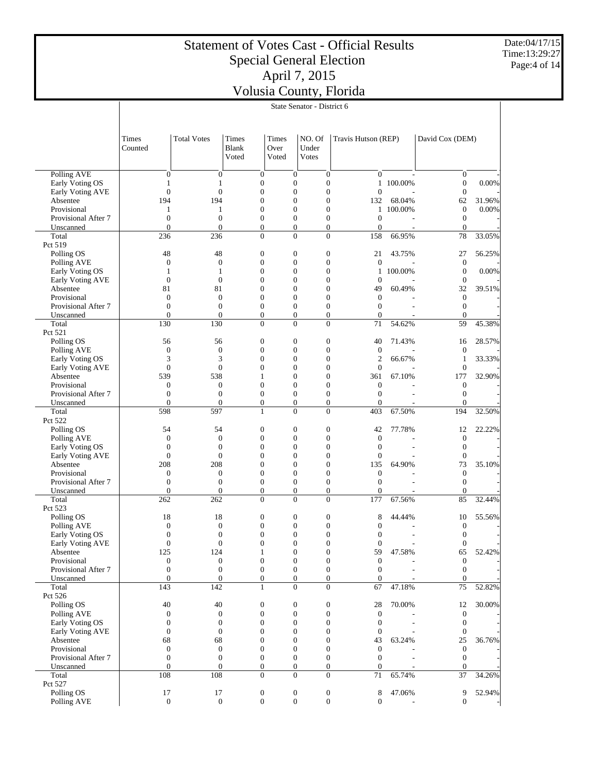Date:04/17/15 Time:13:29:27 Page:4 of 14

|                                     |                                      | State Senator - District 6           |                                       |                                  |                                      |                  |                                  |           |                                      |        |  |
|-------------------------------------|--------------------------------------|--------------------------------------|---------------------------------------|----------------------------------|--------------------------------------|------------------|----------------------------------|-----------|--------------------------------------|--------|--|
|                                     |                                      |                                      |                                       |                                  |                                      |                  |                                  |           |                                      |        |  |
|                                     | Times<br>Counted                     | <b>Total Votes</b>                   | <b>Times</b><br><b>Blank</b><br>Voted | Times<br>Over<br>Voted           | NO. Of<br>Under<br><b>Votes</b>      |                  | Travis Hutson (REP)              |           | David Cox (DEM)                      |        |  |
| Polling AVE                         | $\boldsymbol{0}$                     | $\boldsymbol{0}$                     | $\boldsymbol{0}$                      | $\boldsymbol{0}$                 | $\boldsymbol{0}$                     |                  | $\overline{0}$                   |           | $\boldsymbol{0}$                     |        |  |
| Early Voting OS                     | 1                                    | 1                                    | $\boldsymbol{0}$                      | $\overline{0}$                   | $\boldsymbol{0}$                     |                  |                                  | 1 100.00% | $\boldsymbol{0}$                     | 0.00%  |  |
| Early Voting AVE                    | $\boldsymbol{0}$                     | $\overline{0}$                       | $\overline{0}$                        | $\overline{0}$                   | $\overline{0}$                       |                  | $\overline{0}$                   |           | $\boldsymbol{0}$                     |        |  |
| Absentee                            | 194                                  | 194                                  | $\overline{0}$                        | $\theta$                         | $\overline{0}$                       |                  | 132                              | 68.04%    | 62                                   | 31.96% |  |
| Provisional<br>Provisional After 7  | 1<br>$\boldsymbol{0}$                | 1<br>$\overline{0}$                  | $\boldsymbol{0}$<br>$\boldsymbol{0}$  | $\overline{0}$<br>$\theta$       | $\overline{0}$<br>$\overline{0}$     |                  | $\mathbf{1}$<br>$\boldsymbol{0}$ | 100.00%   | $\boldsymbol{0}$<br>$\boldsymbol{0}$ | 0.00%  |  |
| Unscanned                           | $\overline{0}$                       | $\overline{0}$                       | $\boldsymbol{0}$                      | $\boldsymbol{0}$                 | $\overline{0}$                       |                  | $\boldsymbol{0}$                 |           | $\mathbf{0}$                         |        |  |
| Total                               | 236                                  | 236                                  | $\overline{0}$                        | $\theta$                         | $\overline{0}$                       |                  | 158                              | 66.95%    | 78                                   | 33.05% |  |
| Pct 519                             |                                      |                                      |                                       |                                  |                                      |                  |                                  |           |                                      |        |  |
| Polling OS                          | 48                                   | 48                                   | $\boldsymbol{0}$                      | $\boldsymbol{0}$                 | $\boldsymbol{0}$                     |                  | 21                               | 43.75%    | 27                                   | 56.25% |  |
| Polling AVE                         | $\boldsymbol{0}$                     | $\boldsymbol{0}$                     | $\boldsymbol{0}$                      | $\overline{0}$                   | $\boldsymbol{0}$                     |                  | $\mathbf{0}$                     |           | $\boldsymbol{0}$                     |        |  |
| Early Voting OS                     | 1                                    | 1                                    | $\overline{0}$                        | $\theta$                         | $\overline{0}$                       |                  | $\mathbf{1}$                     | 100.00%   | $\boldsymbol{0}$                     | 0.00%  |  |
| Early Voting AVE                    | $\boldsymbol{0}$<br>81               | $\boldsymbol{0}$<br>81               | $\overline{0}$<br>0                   | $\overline{0}$<br>$\theta$       | $\overline{0}$<br>$\overline{0}$     |                  | $\mathbf{0}$<br>49               | 60.49%    | $\boldsymbol{0}$<br>32               | 39.51% |  |
| Absentee<br>Provisional             | $\boldsymbol{0}$                     | $\boldsymbol{0}$                     | $\overline{0}$                        | $\overline{0}$                   | $\overline{0}$                       |                  | $\overline{0}$                   |           | $\boldsymbol{0}$                     |        |  |
| Provisional After 7                 | $\overline{0}$                       | $\overline{0}$                       | $\boldsymbol{0}$                      | $\overline{0}$                   | $\overline{0}$                       |                  | $\overline{0}$                   |           | $\boldsymbol{0}$                     |        |  |
| Unscanned                           | $\overline{0}$                       | $\overline{0}$                       | $\boldsymbol{0}$                      | $\boldsymbol{0}$                 | $\overline{0}$                       |                  | $\boldsymbol{0}$                 |           | $\mathbf{0}$                         |        |  |
| Total                               | 130                                  | 130                                  | $\overline{0}$                        | $\overline{0}$                   | $\overline{0}$                       |                  | 71                               | 54.62%    | 59                                   | 45.38% |  |
| Pct 521                             |                                      |                                      |                                       |                                  |                                      |                  |                                  |           |                                      |        |  |
| Polling OS                          | 56                                   | 56                                   | $\boldsymbol{0}$                      | $\boldsymbol{0}$                 | $\boldsymbol{0}$                     |                  | 40                               | 71.43%    | 16                                   | 28.57% |  |
| Polling AVE                         | $\boldsymbol{0}$                     | $\boldsymbol{0}$                     | $\boldsymbol{0}$                      | $\overline{0}$                   | $\boldsymbol{0}$                     |                  | $\boldsymbol{0}$                 |           | $\boldsymbol{0}$                     |        |  |
| Early Voting OS                     | 3                                    | 3                                    | $\overline{0}$                        | $\theta$                         | $\overline{0}$                       |                  | $\overline{c}$                   | 66.67%    | 1                                    | 33.33% |  |
| Early Voting AVE<br>Absentee        | $\boldsymbol{0}$<br>539              | $\boldsymbol{0}$<br>538              | $\overline{0}$<br>1                   | $\overline{0}$<br>$\theta$       | $\overline{0}$<br>$\overline{0}$     |                  | $\mathbf{0}$<br>361              | 67.10%    | $\boldsymbol{0}$<br>177              | 32.90% |  |
| Provisional                         | $\boldsymbol{0}$                     | $\boldsymbol{0}$                     | $\overline{0}$                        | $\overline{0}$                   | $\overline{0}$                       |                  | $\mathbf{0}$                     |           | $\boldsymbol{0}$                     |        |  |
| Provisional After 7                 | $\boldsymbol{0}$                     | $\overline{0}$                       | $\overline{0}$                        | $\overline{0}$                   | $\overline{0}$                       |                  | $\overline{0}$                   |           | $\boldsymbol{0}$                     |        |  |
| Unscanned                           | $\overline{0}$                       | $\overline{0}$                       | $\boldsymbol{0}$                      | $\boldsymbol{0}$                 | $\boldsymbol{0}$                     |                  | $\overline{0}$                   |           | $\mathbf{0}$                         |        |  |
| Total                               | 598                                  | 597                                  | $\mathbf{1}$                          | $\theta$                         | $\theta$                             |                  | 403                              | 67.50%    | 194                                  | 32.50% |  |
| Pct 522                             |                                      |                                      |                                       |                                  |                                      |                  |                                  |           |                                      |        |  |
| Polling OS                          | 54                                   | 54                                   | $\boldsymbol{0}$                      | $\boldsymbol{0}$                 | $\boldsymbol{0}$                     |                  | 42                               | 77.78%    | 12                                   | 22.22% |  |
| Polling AVE                         | $\boldsymbol{0}$                     | $\boldsymbol{0}$                     | $\boldsymbol{0}$                      | $\overline{0}$<br>$\theta$       | $\boldsymbol{0}$                     |                  | $\boldsymbol{0}$                 |           | $\boldsymbol{0}$                     |        |  |
| Early Voting OS<br>Early Voting AVE | $\boldsymbol{0}$<br>$\boldsymbol{0}$ | $\overline{0}$<br>$\boldsymbol{0}$   | $\overline{0}$<br>$\overline{0}$      | $\overline{0}$                   | $\overline{0}$<br>$\overline{0}$     |                  | $\overline{0}$<br>$\mathbf{0}$   |           | $\boldsymbol{0}$<br>$\boldsymbol{0}$ |        |  |
| Absentee                            | 208                                  | 208                                  | 0                                     | $\theta$                         | $\overline{0}$                       |                  | 135                              | 64.90%    | 73                                   | 35.10% |  |
| Provisional                         | $\boldsymbol{0}$                     | $\boldsymbol{0}$                     | $\boldsymbol{0}$                      | $\overline{0}$                   | $\overline{0}$                       |                  | $\boldsymbol{0}$                 |           | $\boldsymbol{0}$                     |        |  |
| Provisional After 7                 | $\boldsymbol{0}$                     | $\overline{0}$                       | $\boldsymbol{0}$                      | $\overline{0}$                   | $\overline{0}$                       |                  | $\overline{0}$                   |           | $\boldsymbol{0}$                     |        |  |
| Unscanned                           | $\overline{0}$                       | $\overline{0}$                       | $\boldsymbol{0}$                      | $\boldsymbol{0}$                 | $\boldsymbol{0}$                     |                  | $\overline{0}$                   |           | $\boldsymbol{0}$                     |        |  |
| Total                               | 262                                  | 262                                  | $\overline{0}$                        | $\overline{0}$                   | $\overline{0}$                       |                  | 177                              | 67.56%    | 85                                   | 32.44% |  |
| Pct 523                             |                                      |                                      |                                       |                                  |                                      |                  |                                  |           |                                      |        |  |
| Polling OS                          | 18                                   | 18                                   | 0                                     | $\boldsymbol{0}$                 | 0                                    |                  | 8                                | 44.44%    | 10                                   | 55.56% |  |
| Polling AVE                         | $\boldsymbol{0}$<br>$\Omega$         | $\boldsymbol{0}$<br>$\Omega$         | $\boldsymbol{0}$<br>$\Omega$          | $\boldsymbol{0}$<br>$\Omega$     | $\boldsymbol{0}$<br>$\Omega$         |                  | $\overline{0}$<br>$\Omega$       |           | $\boldsymbol{0}$<br>$\boldsymbol{0}$ |        |  |
| Early Voting OS<br>Early Voting AVE | $\boldsymbol{0}$                     | $\boldsymbol{0}$                     | $\boldsymbol{0}$                      | $\boldsymbol{0}$                 | $\boldsymbol{0}$                     |                  | $\boldsymbol{0}$                 |           | $\boldsymbol{0}$                     |        |  |
| Absentee                            | 125                                  | 124                                  | $\mathbf{1}$                          | $\overline{0}$                   | $\boldsymbol{0}$                     |                  | 59                               | 47.58%    | 65                                   | 52.42% |  |
| Provisional                         | $\boldsymbol{0}$                     | $\boldsymbol{0}$                     | $\boldsymbol{0}$                      | $\boldsymbol{0}$                 | $\boldsymbol{0}$                     |                  | $\boldsymbol{0}$                 |           | $\boldsymbol{0}$                     |        |  |
| Provisional After 7                 | $\boldsymbol{0}$                     | $\boldsymbol{0}$                     | $\boldsymbol{0}$                      | $\boldsymbol{0}$                 | $\boldsymbol{0}$                     |                  | $\mathbf{0}$                     |           | $\mathbf{0}$                         |        |  |
| Unscanned                           | $\boldsymbol{0}$                     | $\boldsymbol{0}$                     | $\boldsymbol{0}$                      | $\boldsymbol{0}$                 |                                      | $\boldsymbol{0}$ | $\boldsymbol{0}$                 |           | $\boldsymbol{0}$                     |        |  |
| Total                               | 143                                  | 142                                  | $\mathbf{1}$                          | $\mathbf{0}$                     | $\boldsymbol{0}$                     |                  | 67                               | 47.18%    | 75                                   | 52.82% |  |
| Pct 526                             |                                      |                                      |                                       |                                  |                                      |                  |                                  |           |                                      |        |  |
| Polling OS                          | 40                                   | 40                                   | $\boldsymbol{0}$                      | $\boldsymbol{0}$                 | $\boldsymbol{0}$                     |                  | 28                               | 70.00%    | 12                                   | 30.00% |  |
| Polling AVE<br>Early Voting OS      | $\boldsymbol{0}$<br>$\boldsymbol{0}$ | $\boldsymbol{0}$<br>$\boldsymbol{0}$ | $\boldsymbol{0}$<br>$\overline{0}$    | $\boldsymbol{0}$<br>$\Omega$     | $\boldsymbol{0}$<br>$\boldsymbol{0}$ |                  | $\mathbf{0}$<br>$\boldsymbol{0}$ |           | $\boldsymbol{0}$<br>$\mathbf{0}$     |        |  |
| Early Voting AVE                    | $\boldsymbol{0}$                     | $\boldsymbol{0}$                     | $\overline{0}$                        | $\overline{0}$                   | $\boldsymbol{0}$                     |                  | $\boldsymbol{0}$                 |           | $\boldsymbol{0}$                     |        |  |
| Absentee                            | 68                                   | 68                                   | $\overline{0}$                        | $\Omega$                         | $\boldsymbol{0}$                     |                  | 43                               | 63.24%    | 25                                   | 36.76% |  |
| Provisional                         | $\boldsymbol{0}$                     | $\boldsymbol{0}$                     | 0                                     | $\boldsymbol{0}$                 | $\boldsymbol{0}$                     |                  | $\mathbf{0}$                     |           | $\mathbf{0}$                         |        |  |
| Provisional After 7                 | $\boldsymbol{0}$                     | $\boldsymbol{0}$                     | $\boldsymbol{0}$                      | $\mathbf{0}$                     | $\boldsymbol{0}$                     |                  | $\mathbf{0}$                     |           | $\boldsymbol{0}$                     |        |  |
| Unscanned                           | $\overline{0}$                       | $\boldsymbol{0}$                     | $\boldsymbol{0}$                      | $\boldsymbol{0}$                 |                                      | $\boldsymbol{0}$ | $\boldsymbol{0}$                 |           | $\boldsymbol{0}$                     |        |  |
| Total                               | 108                                  | 108                                  | $\overline{0}$                        | $\overline{0}$                   | $\overline{0}$                       |                  | 71                               | 65.74%    | 37                                   | 34.26% |  |
| Pct 527                             |                                      |                                      |                                       |                                  |                                      |                  |                                  |           |                                      |        |  |
| Polling OS                          | 17<br>$\boldsymbol{0}$               | 17<br>$\mathbf{0}$                   | $\boldsymbol{0}$<br>$\boldsymbol{0}$  | $\boldsymbol{0}$<br>$\mathbf{0}$ | $\boldsymbol{0}$<br>$\mathbf{0}$     |                  | 8<br>$\boldsymbol{0}$            | 47.06%    | 9<br>$\overline{0}$                  | 52.94% |  |
| Polling AVE                         |                                      |                                      |                                       |                                  |                                      |                  |                                  |           |                                      |        |  |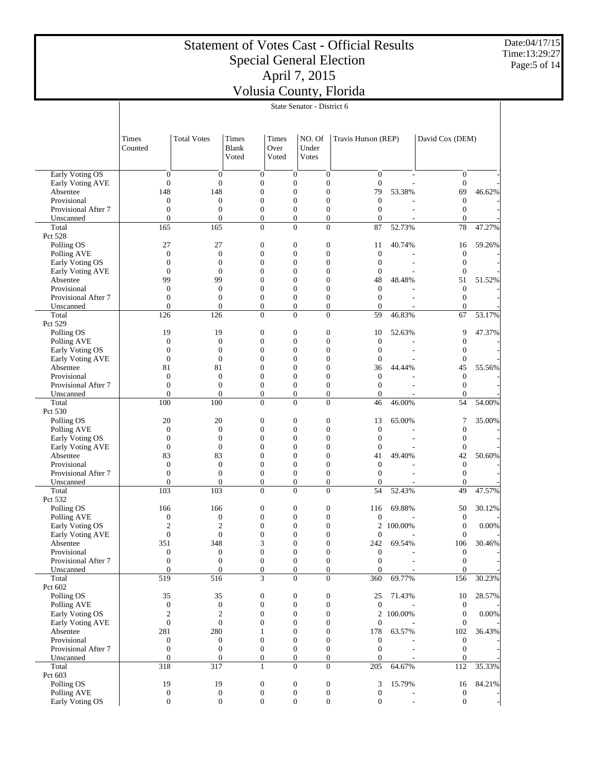Date:04/17/15 Time:13:29:27 Page:5 of 14

|                                | State Senator - District 6         |                                    |                                      |                                      |                                      |                                                                      |                |                                  |          |  |
|--------------------------------|------------------------------------|------------------------------------|--------------------------------------|--------------------------------------|--------------------------------------|----------------------------------------------------------------------|----------------|----------------------------------|----------|--|
|                                |                                    |                                    |                                      |                                      |                                      |                                                                      |                |                                  |          |  |
|                                | Times<br>Counted                   | <b>Total Votes</b>                 | <b>Times</b><br>Blank<br>Voted       | Times<br>Over<br>Voted               | NO. Of<br>Under<br><b>Votes</b>      | Travis Hutson (REP)                                                  |                | David Cox (DEM)                  |          |  |
| <b>Early Voting OS</b>         | $\boldsymbol{0}$                   | $\boldsymbol{0}$                   | $\boldsymbol{0}$                     | $\boldsymbol{0}$                     |                                      | $\overline{0}$<br>$\overline{0}$                                     |                | $\boldsymbol{0}$                 |          |  |
| Early Voting AVE               | $\boldsymbol{0}$                   | $\overline{0}$                     | $\boldsymbol{0}$                     | $\overline{0}$                       |                                      | $\boldsymbol{0}$<br>$\overline{0}$                                   |                | $\mathbf{0}$                     |          |  |
| Absentee                       | 148                                | 148                                | $\boldsymbol{0}$                     | $\overline{0}$                       |                                      | $\overline{0}$<br>79                                                 | 53.38%         | 69                               | 46.62%   |  |
| Provisional                    | $\boldsymbol{0}$                   | $\boldsymbol{0}$                   | $\overline{0}$                       | $\theta$                             |                                      | $\overline{0}$<br>$\theta$                                           |                | $\boldsymbol{0}$                 |          |  |
| Provisional After 7            | $\boldsymbol{0}$                   | $\boldsymbol{0}$                   | $\boldsymbol{0}$                     | $\overline{0}$                       |                                      | $\overline{0}$<br>$\overline{0}$                                     |                | $\boldsymbol{0}$                 |          |  |
| Unscanned                      | $\overline{0}$                     | $\overline{0}$                     | $\overline{0}$                       | $\overline{0}$                       |                                      | $\overline{0}$<br>$\overline{0}$                                     |                | $\mathbf{0}$                     |          |  |
| Total<br>Pct 528               | 165                                | 165                                | $\overline{0}$                       | $\overline{0}$                       |                                      | $\overline{0}$<br>87                                                 | 52.73%         | 78                               | 47.27%   |  |
| Polling OS                     | 27                                 | 27                                 | $\boldsymbol{0}$                     | $\mathbf{0}$                         |                                      | $\boldsymbol{0}$<br>11                                               | 40.74%         | 16                               | 59.26%   |  |
| Polling AVE                    | $\boldsymbol{0}$                   | $\boldsymbol{0}$                   | $\overline{0}$                       | $\theta$                             |                                      | $\overline{0}$<br>$\boldsymbol{0}$                                   |                | $\boldsymbol{0}$                 |          |  |
| Early Voting OS                | $\boldsymbol{0}$                   | $\boldsymbol{0}$                   | $\overline{0}$                       | $\overline{0}$                       |                                      | $\overline{0}$<br>$\theta$                                           |                | $\boldsymbol{0}$                 |          |  |
| Early Voting AVE               | $\overline{0}$                     | $\overline{0}$                     | $\Omega$                             | $\theta$                             | $\overline{0}$                       | $\theta$                                                             |                | $\mathbf{0}$                     |          |  |
| Absentee                       | 99                                 | 99                                 | $\overline{0}$                       | $\overline{0}$                       | $\overline{0}$                       | 48                                                                   | 48.48%         | 51                               | 51.52%   |  |
| Provisional                    | $\overline{0}$                     | $\boldsymbol{0}$                   | $\overline{0}$                       | $\theta$                             | $\overline{0}$                       | $\overline{0}$                                                       |                | $\boldsymbol{0}$                 |          |  |
| Provisional After 7            | $\overline{0}$                     | $\overline{0}$                     | $\boldsymbol{0}$                     | $\overline{0}$                       |                                      | $\overline{0}$<br>$\overline{0}$                                     |                | $\boldsymbol{0}$                 |          |  |
| Unscanned<br>Total             | $\overline{0}$<br>126              | $\overline{0}$<br>126              | $\overline{0}$<br>$\overline{0}$     | $\overline{0}$<br>$\theta$           |                                      | $\overline{0}$<br>$\overline{0}$<br>$\overline{0}$<br>59             | 46.83%         | $\mathbf{0}$<br>67               | 53.17%   |  |
| Pct 529                        |                                    |                                    |                                      |                                      |                                      |                                                                      |                |                                  |          |  |
| Polling OS                     | 19                                 | 19                                 | $\boldsymbol{0}$                     | $\mathbf{0}$                         |                                      | $\boldsymbol{0}$<br>10                                               | 52.63%         | 9                                | 47.37%   |  |
| Polling AVE                    | $\boldsymbol{0}$                   | $\overline{0}$                     | $\overline{0}$                       | $\theta$                             |                                      | $\overline{0}$<br>$\boldsymbol{0}$                                   |                | $\boldsymbol{0}$                 |          |  |
| Early Voting OS                | $\boldsymbol{0}$                   | $\boldsymbol{0}$                   | $\overline{0}$                       | $\overline{0}$                       |                                      | $\overline{0}$<br>$\boldsymbol{0}$                                   |                | $\boldsymbol{0}$                 |          |  |
| Early Voting AVE               | $\overline{0}$                     | $\overline{0}$                     | $\Omega$                             | $\theta$                             | $\overline{0}$                       | $\theta$                                                             |                | $\mathbf{0}$                     |          |  |
| Absentee                       | 81                                 | 81                                 | $\overline{0}$                       | $\theta$                             | $\overline{0}$                       | 36                                                                   | 44.44%         | 45                               | 55.56%   |  |
| Provisional                    | $\boldsymbol{0}$                   | $\overline{0}$                     | $\overline{0}$                       | $\theta$                             | $\overline{0}$                       | $\overline{0}$                                                       |                | $\boldsymbol{0}$                 |          |  |
| Provisional After 7            | $\boldsymbol{0}$<br>$\overline{0}$ | $\boldsymbol{0}$<br>$\overline{0}$ | $\boldsymbol{0}$<br>$\overline{0}$   | $\overline{0}$<br>$\overline{0}$     |                                      | $\overline{0}$<br>$\overline{0}$<br>$\overline{0}$<br>$\overline{0}$ |                | $\boldsymbol{0}$<br>$\mathbf{0}$ |          |  |
| Unscanned<br>Total             | 100                                | 100                                | $\overline{0}$                       | $\overline{0}$                       |                                      | $\overline{0}$<br>46                                                 | $46.00\%$      | 54                               | 54.00%   |  |
| Pct 530                        |                                    |                                    |                                      |                                      |                                      |                                                                      |                |                                  |          |  |
| Polling OS                     | 20                                 | 20                                 | $\boldsymbol{0}$                     | $\boldsymbol{0}$                     |                                      | $\boldsymbol{0}$<br>13                                               | 65.00%         | $\overline{7}$                   | 35.00%   |  |
| Polling AVE                    | $\boldsymbol{0}$                   | $\overline{0}$                     | $\overline{0}$                       | $\theta$                             |                                      | $\overline{0}$<br>$\boldsymbol{0}$                                   |                | $\boldsymbol{0}$                 |          |  |
| Early Voting OS                | $\boldsymbol{0}$                   | $\boldsymbol{0}$                   | $\overline{0}$                       | $\overline{0}$                       |                                      | $\overline{0}$<br>$\overline{0}$                                     |                | $\boldsymbol{0}$                 |          |  |
| Early Voting AVE               | $\boldsymbol{0}$                   | $\overline{0}$                     | $\Omega$                             | $\theta$                             | $\overline{0}$                       | $\mathbf{0}$                                                         |                | $\mathbf{0}$                     |          |  |
| Absentee<br>Provisional        | 83<br>$\overline{0}$               | 83<br>$\overline{0}$               | $\overline{0}$<br>$\overline{0}$     | $\overline{0}$<br>$\theta$           | $\overline{0}$<br>$\overline{0}$     | 41<br>$\overline{0}$                                                 | 49.40%         | 42<br>$\boldsymbol{0}$           | 50.60%   |  |
| Provisional After 7            | $\boldsymbol{0}$                   | $\overline{0}$                     | $\boldsymbol{0}$                     | $\overline{0}$                       |                                      | $\overline{0}$<br>$\overline{0}$                                     |                | $\boldsymbol{0}$                 |          |  |
| Unscanned                      | $\overline{0}$                     | $\overline{0}$                     | $\overline{0}$                       | $\overline{0}$                       |                                      | $\overline{0}$<br>$\overline{0}$                                     |                | $\mathbf{0}$                     |          |  |
| Total                          | 103                                | 103                                | $\overline{0}$                       | $\theta$                             |                                      | $\overline{0}$<br>54                                                 | 52.43%         | 49                               | 47.57%   |  |
| Pct 532                        |                                    |                                    |                                      |                                      |                                      |                                                                      |                |                                  |          |  |
| Polling OS                     | 166                                | 166                                | $\boldsymbol{0}$                     | $\boldsymbol{0}$                     |                                      | $\boldsymbol{0}$<br>116                                              | 69.88%         | 50                               | 30.12%   |  |
| Polling AVE                    | $\boldsymbol{0}$                   | $\boldsymbol{0}$                   | $\overline{0}$                       | $\overline{0}$                       | $\overline{0}$                       | $\mathbf{0}$                                                         |                | $\boldsymbol{0}$                 |          |  |
| Early Voting OS                | $\boldsymbol{2}$                   | $\mathbf{2}$<br>$\Omega$           | $\boldsymbol{0}$<br>$\Omega$         | $\boldsymbol{0}$<br>$\Omega$         |                                      | $\boldsymbol{0}$<br>$\Omega$                                         | 2 100.00%      | $\boldsymbol{0}$                 | 0.00%    |  |
| Early Voting AVE<br>Absentee   | $\Omega$<br>351                    | 348                                | 3                                    | $\boldsymbol{0}$                     | $\boldsymbol{0}$                     | $\boldsymbol{0}$<br>242                                              | 69.54%         | $\Omega$<br>106                  | 30.46%   |  |
| Provisional                    | $\boldsymbol{0}$                   | $\boldsymbol{0}$                   | $\boldsymbol{0}$                     | $\mathbf{0}$                         |                                      | $\boldsymbol{0}$<br>$\mathbf{0}$                                     |                | $\boldsymbol{0}$                 |          |  |
| Provisional After 7            | $\boldsymbol{0}$                   | $\boldsymbol{0}$                   | $\boldsymbol{0}$                     | $\boldsymbol{0}$                     | $\boldsymbol{0}$                     | $\mathbf{0}$                                                         |                | $\boldsymbol{0}$                 |          |  |
| Unscanned                      | $\overline{0}$                     | $\overline{0}$                     | $\boldsymbol{0}$                     | $\overline{0}$                       |                                      | $\overline{0}$<br>$\overline{0}$                                     |                | $\mathbf{0}$                     |          |  |
| Total                          | 519                                | 516                                | 3                                    | $\overline{0}$                       |                                      | $\overline{0}$<br>360                                                | 69.77%         | 156                              | 30.23%   |  |
| Pct 602                        |                                    |                                    |                                      |                                      |                                      |                                                                      |                |                                  |          |  |
| Polling OS                     | 35                                 | 35                                 | $\boldsymbol{0}$                     | $\boldsymbol{0}$                     | $\boldsymbol{0}$                     | 25                                                                   | 71.43%         | 10                               | 28.57%   |  |
| Polling AVE<br>Early Voting OS | $\boldsymbol{0}$<br>$\mathbf{2}$   | $\boldsymbol{0}$<br>$\sqrt{2}$     | $\boldsymbol{0}$<br>$\boldsymbol{0}$ | $\mathbf{0}$<br>$\boldsymbol{0}$     | $\overline{0}$                       | $\mathbf{0}$<br>$\boldsymbol{0}$                                     | 2 100.00%      | $\boldsymbol{0}$<br>$\mathbf{0}$ | $0.00\%$ |  |
| Early Voting AVE               | $\boldsymbol{0}$                   | $\boldsymbol{0}$                   | $\overline{0}$                       | $\theta$                             |                                      | $\overline{0}$<br>$\mathbf{0}$                                       |                | $\theta$                         |          |  |
| Absentee                       | 281                                | 280                                | 1                                    | $\overline{0}$                       |                                      | $\boldsymbol{0}$<br>178                                              | 63.57%         | 102                              | 36.43%   |  |
| Provisional                    | $\boldsymbol{0}$                   | $\boldsymbol{0}$                   | $\overline{0}$                       | $\theta$                             |                                      | $\overline{0}$<br>$\boldsymbol{0}$                                   |                | $\boldsymbol{0}$                 |          |  |
| Provisional After 7            | $\boldsymbol{0}$                   | $\boldsymbol{0}$                   | $\boldsymbol{0}$                     | $\boldsymbol{0}$                     |                                      | $\boldsymbol{0}$<br>$\boldsymbol{0}$                                 |                | $\mathbf{0}$                     |          |  |
| Unscanned                      | $\overline{0}$                     | $\overline{0}$                     | $\overline{0}$                       | $\overline{0}$                       |                                      | $\overline{0}$<br>$\overline{0}$                                     |                | $\mathbf{0}$                     |          |  |
| Total                          | 318                                | 317                                | $\mathbf{1}$                         | $\mathbf{0}$                         |                                      | $\boldsymbol{0}$<br>205                                              | 64.67%         | 112                              | 35.33%   |  |
| Pct 603                        |                                    |                                    |                                      |                                      |                                      |                                                                      |                |                                  |          |  |
| Polling OS<br>Polling AVE      | 19<br>$\boldsymbol{0}$             | 19<br>$\boldsymbol{0}$             | $\boldsymbol{0}$<br>$\boldsymbol{0}$ | $\boldsymbol{0}$<br>$\boldsymbol{0}$ | $\boldsymbol{0}$<br>$\boldsymbol{0}$ | 3<br>$\boldsymbol{0}$                                                | 15.79%         | 16<br>$\boldsymbol{0}$           | 84.21%   |  |
| Early Voting OS                | $\boldsymbol{0}$                   | $\boldsymbol{0}$                   | $\boldsymbol{0}$                     | $\boldsymbol{0}$                     |                                      | $\boldsymbol{0}$<br>$\boldsymbol{0}$                                 | $\overline{a}$ | $\mathbf{0}$                     |          |  |
|                                |                                    |                                    |                                      |                                      |                                      |                                                                      |                |                                  |          |  |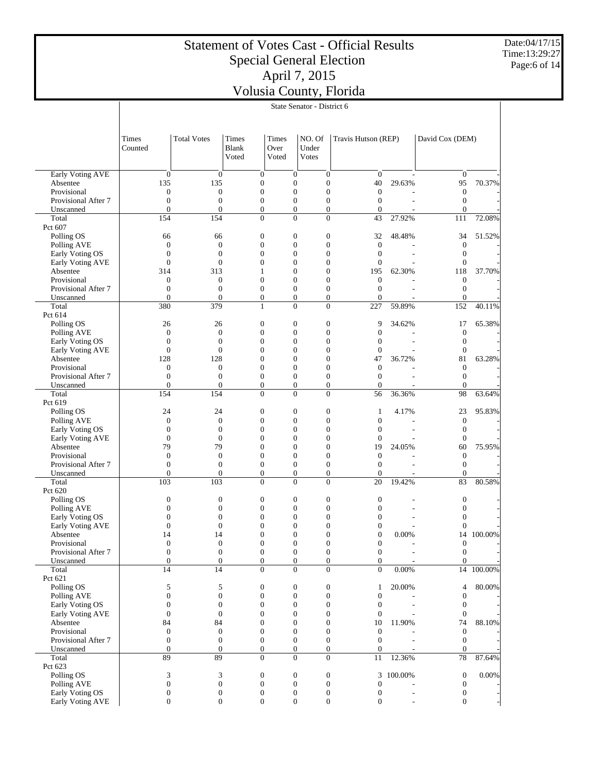Date:04/17/15 Time:13:29:27 Page:6 of 14

|                                     | State Senator - District 6           |                                    |                                      |                                    |                                      |                                    |           |                                  |            |  |
|-------------------------------------|--------------------------------------|------------------------------------|--------------------------------------|------------------------------------|--------------------------------------|------------------------------------|-----------|----------------------------------|------------|--|
|                                     |                                      |                                    |                                      |                                    |                                      |                                    |           |                                  |            |  |
|                                     |                                      |                                    |                                      |                                    |                                      |                                    |           |                                  |            |  |
|                                     | Times                                | <b>Total Votes</b>                 | <b>Times</b>                         | Times                              | NO. Of                               | Travis Hutson (REP)                |           | David Cox (DEM)                  |            |  |
|                                     | Counted                              |                                    | Blank                                | Over                               | Under                                |                                    |           |                                  |            |  |
|                                     |                                      |                                    | Voted                                | Voted                              | <b>Votes</b>                         |                                    |           |                                  |            |  |
|                                     |                                      |                                    |                                      |                                    |                                      |                                    |           |                                  |            |  |
| Early Voting AVE                    | $\boldsymbol{0}$                     | $\boldsymbol{0}$                   | $\boldsymbol{0}$                     | $\boldsymbol{0}$                   | $\boldsymbol{0}$                     | $\boldsymbol{0}$                   |           | $\mathbf{0}$                     |            |  |
| Absentee                            | 135                                  | 135                                | $\boldsymbol{0}$                     | $\overline{0}$                     | $\overline{0}$                       | 40                                 | 29.63%    | 95                               | 70.37%     |  |
| Provisional                         | $\boldsymbol{0}$                     | $\boldsymbol{0}$                   | $\boldsymbol{0}$                     | $\overline{0}$                     | $\boldsymbol{0}$                     | $\mathbf{0}$                       |           | $\boldsymbol{0}$                 |            |  |
| Provisional After 7                 | $\boldsymbol{0}$                     | $\overline{0}$                     | $\boldsymbol{0}$                     | $\overline{0}$                     | $\overline{0}$                       | $\overline{0}$                     |           | $\boldsymbol{0}$                 |            |  |
| Unscanned                           | $\overline{0}$                       | $\overline{0}$                     | $\boldsymbol{0}$                     | $\boldsymbol{0}$                   | $\overline{0}$                       | $\boldsymbol{0}$                   |           | $\overline{0}$                   |            |  |
| Total<br>Pct 607                    | 154                                  | 154                                | $\overline{0}$                       | $\overline{0}$                     | $\overline{0}$                       | 43                                 | 27.92%    | 111                              | 72.08%     |  |
| Polling OS                          | 66                                   | 66                                 | $\boldsymbol{0}$                     | $\boldsymbol{0}$                   | $\boldsymbol{0}$                     | 32                                 | 48.48%    | 34                               | 51.52%     |  |
| Polling AVE                         | $\boldsymbol{0}$                     | $\boldsymbol{0}$                   | $\boldsymbol{0}$                     | $\overline{0}$                     | $\boldsymbol{0}$                     | $\boldsymbol{0}$                   |           | $\boldsymbol{0}$                 |            |  |
| Early Voting OS                     | $\boldsymbol{0}$                     | $\overline{0}$                     | $\overline{0}$                       | $\theta$                           | $\overline{0}$                       | $\overline{0}$                     |           | $\boldsymbol{0}$                 |            |  |
| Early Voting AVE                    | $\boldsymbol{0}$                     | $\overline{0}$                     | $\overline{0}$                       | $\overline{0}$                     | $\overline{0}$                       | $\mathbf{0}$                       |           | $\boldsymbol{0}$                 |            |  |
| Absentee                            | 314                                  | 313                                | 1                                    | $\theta$                           | $\overline{0}$                       | 195                                | 62.30%    | 118                              | 37.70%     |  |
| Provisional                         | $\boldsymbol{0}$                     | $\boldsymbol{0}$                   | $\overline{0}$                       | $\overline{0}$                     | $\overline{0}$                       | $\mathbf{0}$                       |           | $\boldsymbol{0}$                 |            |  |
| Provisional After 7                 | $\overline{0}$                       | $\overline{0}$                     | $\overline{0}$                       | $\theta$                           | $\overline{0}$                       | $\overline{0}$                     |           | $\boldsymbol{0}$                 |            |  |
| Unscanned                           | $\overline{0}$                       | $\overline{0}$                     | $\boldsymbol{0}$                     | $\boldsymbol{0}$                   | $\boldsymbol{0}$                     | $\overline{0}$                     |           | $\mathbf{0}$                     |            |  |
| Total                               | 380                                  | 379                                | $\mathbf{1}$                         | $\theta$                           | $\overline{0}$                       | 227                                | 59.89%    | 152                              | 40.11%     |  |
| Pct 614                             |                                      |                                    |                                      |                                    |                                      |                                    |           |                                  |            |  |
| Polling OS<br>Polling AVE           | 26<br>$\boldsymbol{0}$               | 26<br>$\boldsymbol{0}$             | $\boldsymbol{0}$<br>$\boldsymbol{0}$ | $\boldsymbol{0}$<br>$\overline{0}$ | $\boldsymbol{0}$<br>$\boldsymbol{0}$ | 9<br>$\overline{0}$                | 34.62%    | 17<br>$\boldsymbol{0}$           | 65.38%     |  |
| Early Voting OS                     | $\boldsymbol{0}$                     | $\overline{0}$                     | $\overline{0}$                       | $\theta$                           | $\overline{0}$                       | $\overline{0}$                     |           | $\boldsymbol{0}$                 |            |  |
| Early Voting AVE                    | $\boldsymbol{0}$                     | $\overline{0}$                     | $\overline{0}$                       | $\overline{0}$                     | $\overline{0}$                       | $\mathbf{0}$                       |           | $\boldsymbol{0}$                 |            |  |
| Absentee                            | 128                                  | 128                                | 0                                    | $\theta$                           | $\overline{0}$                       | 47                                 | 36.72%    | 81                               | 63.28%     |  |
| Provisional                         | $\boldsymbol{0}$                     | $\boldsymbol{0}$                   | $\overline{0}$                       | $\overline{0}$                     | $\overline{0}$                       | $\boldsymbol{0}$                   |           | $\boldsymbol{0}$                 |            |  |
| Provisional After 7                 | $\boldsymbol{0}$                     | $\overline{0}$                     | $\boldsymbol{0}$                     | $\overline{0}$                     | $\overline{0}$                       | $\overline{0}$                     |           | $\boldsymbol{0}$                 |            |  |
| Unscanned                           | $\overline{0}$                       | $\overline{0}$                     | $\boldsymbol{0}$                     | $\boldsymbol{0}$                   | $\overline{0}$                       | $\overline{0}$                     |           | $\mathbf{0}$                     |            |  |
| Total                               | 154                                  | 154                                | $\overline{0}$                       | $\theta$                           | $\overline{0}$                       | 56                                 | 36.36%    | 98                               | 63.64%     |  |
| Pct 619                             |                                      |                                    |                                      |                                    |                                      |                                    |           |                                  |            |  |
| Polling OS                          | 24                                   | 24                                 | $\boldsymbol{0}$                     | $\boldsymbol{0}$                   | $\boldsymbol{0}$                     | 1                                  | 4.17%     | 23                               | 95.83%     |  |
| Polling AVE<br>Early Voting OS      | $\boldsymbol{0}$<br>$\boldsymbol{0}$ | $\boldsymbol{0}$<br>$\overline{0}$ | $\boldsymbol{0}$<br>$\overline{0}$   | $\overline{0}$<br>$\theta$         | $\boldsymbol{0}$<br>$\overline{0}$   | $\boldsymbol{0}$<br>$\overline{0}$ |           | $\mathbf{0}$<br>$\boldsymbol{0}$ |            |  |
| Early Voting AVE                    | $\boldsymbol{0}$                     | $\overline{0}$                     | $\overline{0}$                       | $\overline{0}$                     | $\overline{0}$                       | $\mathbf{0}$                       |           | $\boldsymbol{0}$                 |            |  |
| Absentee                            | 79                                   | 79                                 | $\Omega$                             | $\theta$                           | $\overline{0}$                       | 19                                 | 24.05%    | 60                               | 75.95%     |  |
| Provisional                         | $\boldsymbol{0}$                     | $\boldsymbol{0}$                   | $\boldsymbol{0}$                     | $\overline{0}$                     | $\overline{0}$                       | $\theta$                           |           | $\boldsymbol{0}$                 |            |  |
| Provisional After 7                 | $\overline{0}$                       | $\overline{0}$                     | $\overline{0}$                       | $\overline{0}$                     | $\overline{0}$                       | $\overline{0}$                     |           | $\boldsymbol{0}$                 |            |  |
| Unscanned                           | $\overline{0}$                       | $\overline{0}$                     | $\boldsymbol{0}$                     | $\boldsymbol{0}$                   | $\boldsymbol{0}$                     | $\overline{0}$                     |           | $\mathbf{0}$                     |            |  |
| Total                               | 103                                  | 103                                | $\overline{0}$                       | $\theta$                           | $\overline{0}$                       | 20                                 | 19.42%    | 83                               | 80.58%     |  |
| Pct 620                             |                                      |                                    |                                      |                                    |                                      |                                    |           |                                  |            |  |
| Polling OS                          | $\boldsymbol{0}$                     | $\boldsymbol{0}$                   | $\boldsymbol{0}$                     | $\boldsymbol{0}$                   | $\boldsymbol{0}$                     | $\boldsymbol{0}$                   |           | $\boldsymbol{0}$                 |            |  |
| Polling AVE                         | $\boldsymbol{0}$                     | $\overline{0}$                     | $\overline{0}$                       | $\overline{0}$                     | $\boldsymbol{0}$                     | $\overline{0}$                     |           | 0                                |            |  |
| Early Voting OS<br>Early Voting AVE | $\overline{0}$<br>$\boldsymbol{0}$   | $\overline{0}$<br>$\boldsymbol{0}$ | 0<br>$\overline{0}$                  | $\overline{0}$<br>$\boldsymbol{0}$ | $\Omega$<br>0                        | $\theta$<br>$\mathbf{0}$           |           | $\theta$<br>$\boldsymbol{0}$     |            |  |
| Absentee                            | 14                                   | 14                                 | $\Omega$                             | $\Omega$                           | $\Omega$                             | $\theta$                           | 0.00%     |                                  | 14 100.00% |  |
| Provisional                         | $\boldsymbol{0}$                     | $\boldsymbol{0}$                   | $\boldsymbol{0}$                     | $\boldsymbol{0}$                   | $\boldsymbol{0}$                     | $\boldsymbol{0}$                   |           | $\boldsymbol{0}$                 |            |  |
| Provisional After 7                 | $\boldsymbol{0}$                     | $\boldsymbol{0}$                   | $\boldsymbol{0}$                     | $\boldsymbol{0}$                   | $\boldsymbol{0}$                     | $\boldsymbol{0}$                   |           | $\boldsymbol{0}$                 |            |  |
| Unscanned                           | $\boldsymbol{0}$                     | $\boldsymbol{0}$                   | $\boldsymbol{0}$                     | $\boldsymbol{0}$                   | $\boldsymbol{0}$                     | $\mathbf{0}$                       |           | $\mathbf{0}$                     |            |  |
| Total                               | 14                                   | 14                                 | $\overline{0}$                       | $\Omega$                           | $\overline{0}$                       | $\overline{0}$                     | 0.00%     |                                  | 14 100.00% |  |
| Pct 621                             |                                      |                                    |                                      |                                    |                                      |                                    |           |                                  |            |  |
| Polling OS                          | 5                                    | 5                                  | $\boldsymbol{0}$                     | $\boldsymbol{0}$                   | $\boldsymbol{0}$                     | 1                                  | 20.00%    | 4                                | 80.00%     |  |
| Polling AVE                         | $\boldsymbol{0}$                     | $\boldsymbol{0}$                   | $\boldsymbol{0}$                     | $\boldsymbol{0}$                   | $\boldsymbol{0}$                     | $\boldsymbol{0}$                   |           | $\boldsymbol{0}$                 |            |  |
| Early Voting OS                     | $\boldsymbol{0}$                     | $\overline{0}$                     | $\overline{0}$                       | $\mathbf{0}$                       | $\overline{0}$                       | $\mathbf{0}$                       |           | $\boldsymbol{0}$                 |            |  |
| Early Voting AVE<br>Absentee        | $\boldsymbol{0}$<br>84               | $\boldsymbol{0}$<br>84             | $\boldsymbol{0}$<br>$\overline{0}$   | $\overline{0}$<br>$\theta$         | $\boldsymbol{0}$<br>$\boldsymbol{0}$ | $\mathbf{0}$<br>10                 | 11.90%    | $\boldsymbol{0}$<br>74           | 88.10%     |  |
| Provisional                         | $\boldsymbol{0}$                     | $\boldsymbol{0}$                   | $\boldsymbol{0}$                     | $\overline{0}$                     | $\boldsymbol{0}$                     | $\mathbf{0}$                       |           | $\boldsymbol{0}$                 |            |  |
| Provisional After 7                 | $\boldsymbol{0}$                     | $\boldsymbol{0}$                   | $\boldsymbol{0}$                     | $\mathbf{0}$                       | $\boldsymbol{0}$                     | $\overline{0}$                     |           | $\boldsymbol{0}$                 |            |  |
| Unscanned                           | $\boldsymbol{0}$                     | $\boldsymbol{0}$                   | $\boldsymbol{0}$                     | $\boldsymbol{0}$                   | $\boldsymbol{0}$                     | $\boldsymbol{0}$                   |           | $\boldsymbol{0}$                 |            |  |
| Total                               | 89                                   | 89                                 | $\overline{0}$                       | $\overline{0}$                     | $\overline{0}$                       | 11                                 | 12.36%    | $78\,$                           | 87.64%     |  |
| Pct 623                             |                                      |                                    |                                      |                                    |                                      |                                    |           |                                  |            |  |
| Polling OS                          | 3                                    | 3                                  | $\boldsymbol{0}$                     | $\boldsymbol{0}$                   | $\boldsymbol{0}$                     |                                    | 3 100.00% | $\boldsymbol{0}$                 | 0.00%      |  |
| Polling AVE                         | $\boldsymbol{0}$                     | $\boldsymbol{0}$                   | $\boldsymbol{0}$                     | $\boldsymbol{0}$                   | $\boldsymbol{0}$                     | $\boldsymbol{0}$                   |           | $\boldsymbol{0}$                 |            |  |
| Early Voting OS                     | $\boldsymbol{0}$                     | $\boldsymbol{0}$                   | $\boldsymbol{0}$                     | $\boldsymbol{0}$                   | $\boldsymbol{0}$                     | $\boldsymbol{0}$                   |           | $\boldsymbol{0}$                 |            |  |
| Early Voting AVE                    | $\boldsymbol{0}$                     | $\boldsymbol{0}$                   | $\boldsymbol{0}$                     | $\boldsymbol{0}$                   | $\boldsymbol{0}$                     | $\overline{0}$                     |           | $\boldsymbol{0}$                 |            |  |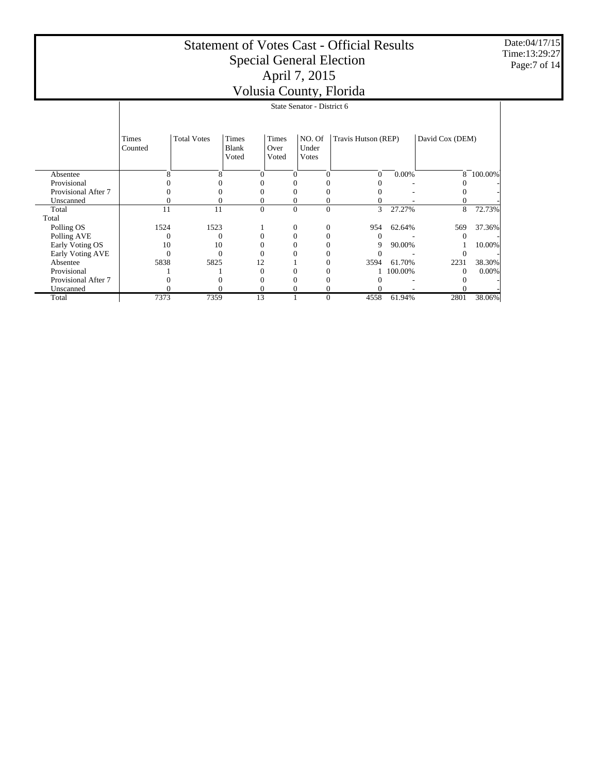Date:04/17/15 Time:13:29:27 Page:7 of 14

|                     | V OIUSIU COUIITY, I IOITUU |                    |                                |                        |                            |                     |         |                 |         |  |
|---------------------|----------------------------|--------------------|--------------------------------|------------------------|----------------------------|---------------------|---------|-----------------|---------|--|
|                     |                            |                    |                                |                        | State Senator - District 6 |                     |         |                 |         |  |
|                     | Times<br>Counted           | <b>Total Votes</b> | <b>Times</b><br>Blank<br>Voted | Times<br>Over<br>Voted | NO. Of<br>Under<br>Votes   | Travis Hutson (REP) |         | David Cox (DEM) |         |  |
| Absentee            | 8                          | 8                  | $\Omega$                       | 0                      |                            | 0                   | 0.00%   | 8               | 100.00% |  |
| Provisional         |                            |                    |                                |                        |                            |                     |         |                 |         |  |
| Provisional After 7 |                            |                    | $^{(1)}$                       |                        |                            |                     |         |                 |         |  |
| Unscanned           |                            |                    | 0                              |                        |                            |                     |         |                 |         |  |
| Total               | 11                         | 11                 | $\mathbf{0}$                   | $\boldsymbol{0}$       | $\Omega$                   | 3                   | 27.27%  | 8               | 72.73%  |  |
| Total               |                            |                    |                                |                        |                            |                     |         |                 |         |  |
| Polling OS          | 1524                       | 1523               |                                | 0                      | 0                          | 954                 | 62.64%  | 569             | 37.36%  |  |
| Polling AVE         |                            |                    |                                |                        |                            |                     |         |                 |         |  |
| Early Voting OS     | 10                         | 10                 |                                |                        |                            | 9                   | 90.00%  |                 | 10.00%  |  |
| Early Voting AVE    |                            |                    |                                |                        |                            |                     |         |                 |         |  |
| Absentee            | 5838                       | 5825               | 12                             |                        |                            | 3594                | 61.70%  | 2231            | 38.30%  |  |
| Provisional         |                            |                    | $\Omega$                       |                        |                            |                     | 100.00% | $\Omega$        | 0.00%   |  |
| Provisional After 7 |                            |                    |                                |                        |                            |                     |         |                 |         |  |
| Unscanned           |                            |                    | 0                              |                        |                            |                     |         |                 |         |  |
| Total               | 7373                       | 7359               | 13                             |                        | $\Omega$                   | 4558                | 61.94%  | 2801            | 38.06%  |  |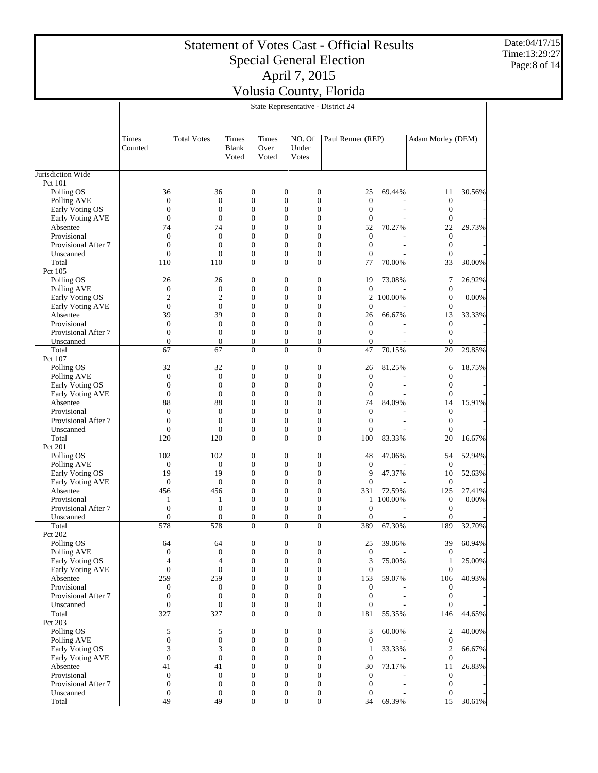Date:04/17/15 Time:13:29:27 Page:8 of 14

|                                  | State Representative - District 24 |                    |                                |                        |                                  |                   |           |                   |        |
|----------------------------------|------------------------------------|--------------------|--------------------------------|------------------------|----------------------------------|-------------------|-----------|-------------------|--------|
|                                  | Times<br>Counted                   | <b>Total Votes</b> | <b>Times</b><br>Blank<br>Voted | Times<br>Over<br>Voted | NO. Of<br>Under<br><b>Votes</b>  | Paul Renner (REP) |           | Adam Morley (DEM) |        |
| Jurisdiction Wide                |                                    |                    |                                |                        |                                  |                   |           |                   |        |
| Pct 101                          |                                    |                    |                                |                        |                                  |                   |           |                   |        |
| Polling OS                       | 36                                 | 36                 | $\mathbf{0}$                   |                        | $\mathbf{0}$<br>$\mathbf{0}$     | 25                | 69.44%    | 11                | 30.56% |
| Polling AVE                      | $\boldsymbol{0}$                   | $\boldsymbol{0}$   | $\boldsymbol{0}$               |                        | $\mathbf{0}$<br>$\mathbf{0}$     | $\boldsymbol{0}$  |           | $\boldsymbol{0}$  |        |
| Early Voting OS                  | $\overline{0}$                     | $\overline{0}$     | $\mathbf{0}$                   |                        | $\Omega$<br>$\overline{0}$       | $\theta$          | ÷.        | $\mathbf{0}$      |        |
| Early Voting AVE                 | $\overline{0}$                     | $\theta$           | $\mathbf{0}$                   |                        | $\Omega$<br>$\theta$             | $\Omega$          |           | $\mathbf{0}$      |        |
| Absentee                         | 74                                 | 74                 | $\mathbf{0}$                   |                        | $\Omega$<br>$\overline{0}$       | 52                | 70.27%    | 22                | 29.73% |
| Provisional                      | $\overline{0}$                     | $\overline{0}$     | $\mathbf{0}$                   |                        | $\Omega$<br>$\mathbf{0}$         | $\overline{0}$    |           | $\mathbf{0}$      |        |
| Provisional After 7              | $\theta$                           | $\theta$           | $\theta$                       |                        | $\Omega$<br>$\theta$             | $\Omega$          |           | $\theta$          |        |
| Unscanned                        | $\overline{0}$                     | $\Omega$           | $\mathbf{0}$                   |                        | $\overline{0}$<br>$\mathbf{0}$   | $\Omega$          |           | $\mathbf{0}$      |        |
| Total                            | 110                                | 110                | $\Omega$                       |                        | $\Omega$<br>$\Omega$             | 77                | 70.00%    | 33                | 30.00% |
| Pct 105                          |                                    |                    |                                |                        |                                  |                   |           |                   |        |
| Polling OS                       | 26                                 | 26                 | $\boldsymbol{0}$               |                        | $\theta$<br>$\mathbf{0}$         | 19                | 73.08%    | 7                 | 26.92% |
| Polling AVE                      | $\overline{0}$                     | $\mathbf{0}$       | $\mathbf{0}$                   |                        | $\overline{0}$<br>$\mathbf{0}$   | $\theta$          |           | $\mathbf{0}$      |        |
| Early Voting OS                  | $\overline{c}$                     | $\mathfrak{2}$     | $\boldsymbol{0}$               |                        | $\mathbf{0}$<br>$\mathbf{0}$     | $\overline{2}$    | 100.00%   | $\mathbf{0}$      | 0.00%  |
| Early Voting AVE                 | $\overline{0}$                     | $\overline{0}$     | $\mathbf{0}$                   |                        | $\mathbf{0}$<br>$\overline{0}$   | $\theta$          |           | $\mathbf{0}$      |        |
| Absentee                         | 39                                 | 39                 | $\mathbf{0}$                   |                        | $\overline{0}$<br>$\Omega$       | 26                | 66.67%    | 13                | 33.33% |
| Provisional                      | $\boldsymbol{0}$                   | $\boldsymbol{0}$   | $\boldsymbol{0}$               |                        | $\overline{0}$<br>$\overline{0}$ | $\boldsymbol{0}$  |           | $\mathbf{0}$      |        |
| Provisional After 7              | $\boldsymbol{0}$                   | $\overline{0}$     | $\mathbf{0}$                   |                        | $\theta$<br>$\mathbf{0}$         | $\theta$          |           | $\mathbf{0}$      |        |
| Unscanned                        | $\overline{0}$                     | $\Omega$           | $\theta$                       |                        | $\overline{0}$<br>$\overline{0}$ | $\Omega$          |           | $\Omega$          |        |
| Total                            | 67                                 | 67                 | $\overline{0}$                 |                        | $\overline{0}$<br>$\overline{0}$ | 47                | 70.15%    | 20                | 29.85% |
| Pct 107                          |                                    |                    |                                |                        |                                  |                   |           |                   |        |
| Polling OS                       | 32                                 | 32                 | $\mathbf{0}$                   |                        | $\mathbf{0}$<br>$\overline{0}$   | 26                | 81.25%    | 6                 | 18.75% |
| Polling AVE                      | $\overline{0}$                     | $\theta$           | $\mathbf{0}$                   |                        | $\mathbf{0}$<br>$\mathbf{0}$     | $\theta$          |           | $\mathbf{0}$      |        |
| Early Voting OS                  | $\overline{0}$                     | $\theta$           | $\mathbf{0}$                   |                        | $\mathbf{0}$<br>$\mathbf{0}$     | $\theta$          |           | $\mathbf{0}$      |        |
| Early Voting AVE                 | $\overline{0}$                     | $\overline{0}$     | $\mathbf{0}$                   |                        | $\mathbf{0}$<br>$\overline{0}$   | $\mathbf{0}$      |           | $\mathbf{0}$      |        |
| Absentee                         | 88                                 | 88                 | $\mathbf{0}$                   |                        | $\mathbf{0}$<br>$\mathbf{0}$     | 74                | 84.09%    | 14                | 15.91% |
| Provisional                      | $\overline{0}$                     | $\overline{0}$     | $\mathbf{0}$                   |                        | $\theta$<br>$\Omega$             | $\theta$          |           | $\mathbf{0}$      |        |
| Provisional After 7              | $\boldsymbol{0}$                   | $\boldsymbol{0}$   | $\boldsymbol{0}$               |                        | $\overline{0}$<br>$\mathbf{0}$   | $\overline{0}$    |           | $\boldsymbol{0}$  |        |
| Unscanned                        | $\theta$                           | $\theta$           | $\mathbf{0}$                   |                        | $\overline{0}$<br>$\mathbf{0}$   | $\Omega$          |           | $\mathbf{0}$      |        |
| Total                            | 120                                | 120                | $\theta$                       |                        | $\Omega$<br>$\Omega$             | 100               | 83.33%    | 20                | 16.67% |
| Pct 201                          |                                    |                    |                                |                        |                                  |                   |           |                   |        |
| Polling OS                       | 102                                | 102                | $\boldsymbol{0}$               |                        | $\mathbf{0}$<br>$\mathbf{0}$     | 48                | 47.06%    | 54                | 52.94% |
| Polling AVE                      | $\overline{0}$                     | $\mathbf{0}$       | $\mathbf{0}$                   |                        | $\theta$<br>$\Omega$             | $\theta$          |           | $\theta$          |        |
| Early Voting OS                  | 19                                 | 19                 | $\mathbf{0}$                   |                        | $\overline{0}$<br>$\mathbf{0}$   | 9                 | 47.37%    | 10                | 52.63% |
| Early Voting AVE                 | $\overline{0}$                     | $\overline{0}$     | $\mathbf{0}$                   |                        | $\mathbf{0}$<br>$\mathbf{0}$     | $\mathbf{0}$      |           | $\mathbf{0}$      |        |
| Absentee                         | 456                                | 456                | $\mathbf{0}$                   |                        | $\theta$<br>$\Omega$             | 331               | 72.59%    | 125               | 27.41% |
| Provisional                      | 1                                  | 1                  | $\mathbf{0}$                   |                        | $\theta$<br>$\mathbf{0}$         |                   | 1 100.00% | $\boldsymbol{0}$  | 0.00%  |
| Provisional After 7              | $\boldsymbol{0}$                   | $\mathbf{0}$       | $\mathbf{0}$                   |                        | $\overline{0}$<br>$\mathbf{0}$   | $\mathbf{0}$      |           | $\mathbf{0}$      |        |
| Unscanned                        | $\theta$                           | $\theta$           | $\theta$                       |                        | $\Omega$<br>$\overline{0}$       | $\Omega$          |           | $\Omega$          |        |
| Total                            | 578                                | 578                | $\mathbf{0}$                   |                        | $\theta$<br>$\theta$             | 389               | 67.30%    | 189               | 32.70% |
| Pct 202<br>$P_0$ lling $\bigcap$ | 64                                 | 64                 | $\Omega$                       |                        | $\Omega$<br>$\Omega$             | 25                | 30 06%    | 30                | 60.94% |
|                                  |                                    |                    |                                |                        |                                  |                   |           |                   |        |

| Larry voung OS      | 12  | 12  |                |                |                |     | + <i>1 . J 1 7</i> 0 | 10       | <i>JL</i> .UJ70 |
|---------------------|-----|-----|----------------|----------------|----------------|-----|----------------------|----------|-----------------|
| Early Voting AVE    | 0   |     |                |                |                |     |                      |          |                 |
| Absentee            | 456 | 456 |                |                |                | 331 | 72.59%               | 125      | 27.41%          |
| Provisional         |     |     |                |                |                |     | 100.00%              | $\theta$ | 0.00%           |
| Provisional After 7 |     |     |                |                |                |     |                      |          |                 |
| Unscanned           |     |     |                |                |                |     |                      |          |                 |
| Total               | 578 | 578 | $\theta$       | $\theta$       | $\Omega$       | 389 | 67.30%               | 189      | 32.70%          |
| Pct 202             |     |     |                |                |                |     |                      |          |                 |
| Polling OS          | 64  | 64  |                | 0              |                | 25  | 39.06%               | 39       | 60.94%          |
| Polling AVE         |     |     |                |                |                |     |                      |          |                 |
| Early Voting OS     |     |     |                |                |                |     | 75.00%               |          | 25.00%          |
| Early Voting AVE    |     |     |                |                |                |     |                      |          |                 |
| Absentee            | 259 | 259 |                |                |                | 153 | 59.07%               | 106      | 40.93%          |
| Provisional         |     |     |                |                |                |     |                      |          |                 |
| Provisional After 7 |     |     |                |                |                |     |                      |          |                 |
| Unscanned           |     |     |                |                |                |     |                      |          |                 |
| Total               | 327 | 327 | $\overline{0}$ | $\overline{0}$ | $\overline{0}$ | 181 | 55.35%               | 146      | 44.65%          |
| Pct 203             |     |     |                |                |                |     |                      |          |                 |
| Polling OS          |     |     |                |                |                |     | 60.00%               | 2        | 40.00%          |
| Polling AVE         |     |     |                |                |                |     |                      |          |                 |
| Early Voting OS     |     |     |                |                |                |     | 33.33%               |          | 66.67%          |
| Early Voting AVE    |     |     |                |                |                |     |                      |          |                 |
| Absentee            |     | 41  |                |                |                | 30  | 73.17%               | 11       | 26.83%          |
| Provisional         |     |     |                |                |                |     |                      |          |                 |
| Provisional After 7 |     |     |                |                |                |     |                      |          |                 |
| Unscanned           |     |     |                |                |                |     |                      |          |                 |
| Total               | 49  | 49  | $\theta$       | $\theta$       | $\theta$       | 34  | 69.39%               | 15       | 30.61%          |
|                     |     |     |                |                |                |     |                      |          |                 |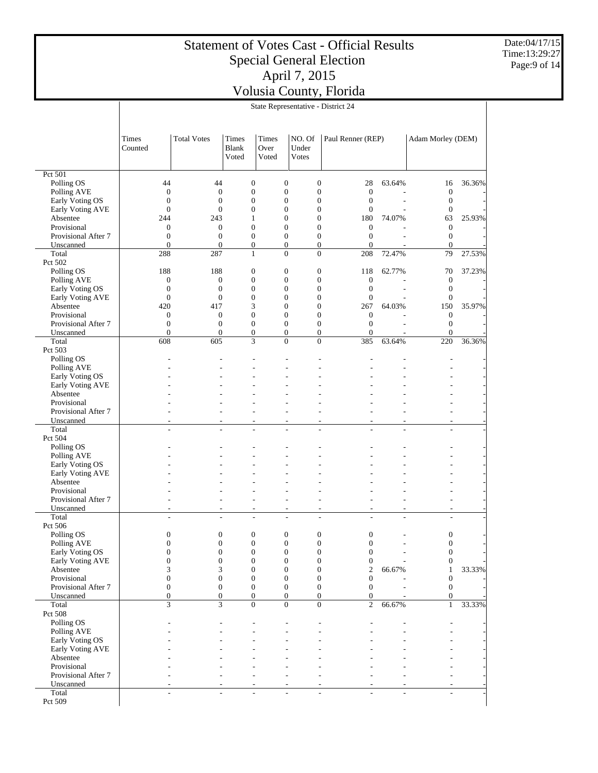Date:04/17/15 Time:13:29:27 Page:9 of 14

|                                     | State Representative - District 24   |                                  |                       |                                      |                                      |                                      |                                      |        |                                      |        |
|-------------------------------------|--------------------------------------|----------------------------------|-----------------------|--------------------------------------|--------------------------------------|--------------------------------------|--------------------------------------|--------|--------------------------------------|--------|
|                                     |                                      |                                  |                       |                                      |                                      |                                      |                                      |        |                                      |        |
|                                     |                                      |                                  |                       |                                      |                                      |                                      |                                      |        |                                      |        |
|                                     | Times<br>Counted                     | <b>Total Votes</b>               | Times<br><b>Blank</b> | Times<br>Over                        |                                      | NO. Of<br>Under                      | Paul Renner (REP)                    |        | Adam Morley (DEM)                    |        |
|                                     |                                      |                                  | Voted                 | Voted                                |                                      | Votes                                |                                      |        |                                      |        |
|                                     |                                      |                                  |                       |                                      |                                      |                                      |                                      |        |                                      |        |
| Pct 501                             |                                      |                                  |                       |                                      |                                      |                                      |                                      |        |                                      |        |
| Polling OS<br>Polling AVE           | 44<br>$\boldsymbol{0}$               | 44<br>$\mathbf{0}$               |                       | $\boldsymbol{0}$<br>$\boldsymbol{0}$ | $\boldsymbol{0}$<br>$\boldsymbol{0}$ | $\boldsymbol{0}$<br>$\boldsymbol{0}$ | 28<br>$\mathbf{0}$                   | 63.64% | 16<br>$\boldsymbol{0}$               | 36.36% |
| Early Voting OS                     | $\boldsymbol{0}$                     | $\overline{0}$                   |                       | $\overline{0}$                       | $\overline{0}$                       | $\boldsymbol{0}$                     | $\boldsymbol{0}$                     | ÷.     | $\boldsymbol{0}$                     |        |
| Early Voting AVE                    | $\boldsymbol{0}$                     | $\overline{0}$                   |                       | $\boldsymbol{0}$                     | $\boldsymbol{0}$                     | $\boldsymbol{0}$                     | $\boldsymbol{0}$                     |        | $\boldsymbol{0}$                     |        |
| Absentee                            | 244                                  | 243                              |                       | 1                                    | $\overline{0}$                       | $\boldsymbol{0}$                     | 180                                  | 74.07% | 63                                   | 25.93% |
| Provisional                         | $\boldsymbol{0}$                     | $\boldsymbol{0}$                 |                       | $\overline{0}$                       | $\boldsymbol{0}$                     | $\boldsymbol{0}$                     | $\boldsymbol{0}$                     |        | $\mathbf{0}$                         |        |
| Provisional After 7                 | $\boldsymbol{0}$<br>$\boldsymbol{0}$ | $\overline{0}$<br>$\overline{0}$ |                       | $\boldsymbol{0}$<br>$\boldsymbol{0}$ | $\boldsymbol{0}$<br>$\boldsymbol{0}$ | $\boldsymbol{0}$<br>$\boldsymbol{0}$ | $\boldsymbol{0}$<br>$\boldsymbol{0}$ |        | $\boldsymbol{0}$                     |        |
| Unscanned<br>Total                  | 288                                  | 287                              |                       | $\mathbf{1}$                         | $\overline{0}$                       | $\overline{0}$                       | 208                                  | 72.47% | $\boldsymbol{0}$<br>79               | 27.53% |
| Pct 502                             |                                      |                                  |                       |                                      |                                      |                                      |                                      |        |                                      |        |
| Polling OS                          | 188                                  | 188                              |                       | $\boldsymbol{0}$                     | $\boldsymbol{0}$                     | $\boldsymbol{0}$                     | 118                                  | 62.77% | 70                                   | 37.23% |
| Polling AVE                         | $\boldsymbol{0}$                     | $\boldsymbol{0}$                 |                       | $\boldsymbol{0}$                     | $\boldsymbol{0}$                     | $\boldsymbol{0}$                     | $\boldsymbol{0}$                     |        | $\mathbf{0}$                         |        |
| Early Voting OS                     | $\boldsymbol{0}$                     | $\boldsymbol{0}$                 |                       | $\mathbf{0}$                         | $\overline{0}$                       | $\boldsymbol{0}$                     | $\boldsymbol{0}$                     |        | $\boldsymbol{0}$                     |        |
| Early Voting AVE                    | $\boldsymbol{0}$                     | $\boldsymbol{0}$<br>417          |                       | $\overline{0}$                       | $\boldsymbol{0}$                     | $\boldsymbol{0}$                     | $\boldsymbol{0}$                     | 64.03% | $\boldsymbol{0}$<br>150              | 35.97% |
| Absentee<br>Provisional             | 420<br>$\boldsymbol{0}$              | $\boldsymbol{0}$                 |                       | 3<br>$\boldsymbol{0}$                | $\mathbf{0}$<br>$\boldsymbol{0}$     | $\boldsymbol{0}$<br>$\boldsymbol{0}$ | 267<br>$\boldsymbol{0}$              |        | $\boldsymbol{0}$                     |        |
| Provisional After 7                 | $\boldsymbol{0}$                     | $\boldsymbol{0}$                 |                       | $\mathbf{0}$                         | $\boldsymbol{0}$                     | $\boldsymbol{0}$                     | $\boldsymbol{0}$                     |        | $\boldsymbol{0}$                     |        |
| Unscanned                           | $\overline{0}$                       | $\overline{0}$                   |                       | $\boldsymbol{0}$                     | $\boldsymbol{0}$                     | $\boldsymbol{0}$                     | $\boldsymbol{0}$                     |        | $\boldsymbol{0}$                     |        |
| Total                               | 608                                  | 605                              |                       | 3                                    | $\overline{0}$                       | $\overline{0}$                       | 385                                  | 63.64% | 220                                  | 36.36% |
| Pct 503                             |                                      |                                  |                       |                                      |                                      |                                      |                                      |        |                                      |        |
| Polling OS                          |                                      |                                  |                       |                                      |                                      |                                      |                                      |        |                                      |        |
| Polling AVE<br>Early Voting OS      |                                      |                                  |                       |                                      |                                      |                                      |                                      |        |                                      |        |
| Early Voting AVE                    |                                      |                                  |                       |                                      |                                      |                                      |                                      |        |                                      |        |
| Absentee                            |                                      |                                  |                       |                                      |                                      |                                      |                                      |        |                                      |        |
| Provisional                         |                                      |                                  |                       |                                      |                                      |                                      |                                      |        |                                      |        |
| Provisional After 7                 |                                      |                                  |                       |                                      |                                      |                                      |                                      |        |                                      |        |
| Unscanned                           | ٠                                    |                                  |                       | $\overline{a}$                       | $\overline{a}$                       | $\overline{a}$                       | ۰                                    | ٠      | $\overline{\phantom{a}}$             |        |
| Total<br>Pct 504                    | ÷                                    | $\overline{a}$                   |                       | $\overline{\phantom{a}}$             | $\overline{a}$                       | $\overline{a}$                       | ä,                                   | ä,     | $\overline{a}$                       |        |
| Polling OS                          |                                      |                                  |                       |                                      |                                      |                                      |                                      |        |                                      |        |
| Polling AVE                         |                                      |                                  |                       |                                      |                                      |                                      |                                      |        |                                      |        |
| Early Voting OS                     |                                      |                                  |                       |                                      |                                      |                                      |                                      |        |                                      |        |
| Early Voting AVE                    |                                      |                                  |                       |                                      |                                      |                                      |                                      |        |                                      |        |
| Absentee                            |                                      |                                  |                       |                                      |                                      |                                      |                                      |        |                                      |        |
| Provisional<br>Provisional After 7  |                                      |                                  |                       |                                      | $\overline{a}$                       |                                      |                                      |        |                                      |        |
| Unscanned                           | $\overline{\phantom{a}}$             |                                  |                       | $\overline{a}$                       | $\overline{a}$                       | $\overline{a}$                       | ۰                                    |        |                                      |        |
| Total                               |                                      |                                  |                       |                                      |                                      |                                      |                                      |        |                                      |        |
| Pct 506                             |                                      |                                  |                       |                                      |                                      |                                      |                                      |        |                                      |        |
| Polling OS                          | $\boldsymbol{0}$                     | $\boldsymbol{0}$                 |                       | $\mathbf{0}$                         | $\boldsymbol{0}$                     | $\boldsymbol{0}$                     | $\boldsymbol{0}$                     |        | $\boldsymbol{0}$                     |        |
| Polling AVE                         | $\boldsymbol{0}$                     | $\boldsymbol{0}$                 |                       | $\boldsymbol{0}$                     | $\boldsymbol{0}$                     | $\boldsymbol{0}$                     | $\boldsymbol{0}$                     |        | $\boldsymbol{0}$                     |        |
| Early Voting OS<br>Early Voting AVE | $\boldsymbol{0}$<br>$\boldsymbol{0}$ | $\boldsymbol{0}$<br>$\mathbf{0}$ |                       | $\mathbf{0}$<br>$\boldsymbol{0}$     | $\boldsymbol{0}$<br>$\mathbf{0}$     | $\boldsymbol{0}$<br>$\boldsymbol{0}$ | $\boldsymbol{0}$<br>$\boldsymbol{0}$ |        | $\boldsymbol{0}$<br>$\boldsymbol{0}$ |        |
| Absentee                            | 3                                    | 3                                |                       | $\mathbf{0}$                         | $\mathbf{0}$                         | $\boldsymbol{0}$                     | $\boldsymbol{2}$                     | 66.67% | $\mathbf{1}$                         | 33.33% |
| Provisional                         | $\boldsymbol{0}$                     | $\boldsymbol{0}$                 |                       | $\boldsymbol{0}$                     | $\mathbf{0}$                         | $\boldsymbol{0}$                     | $\boldsymbol{0}$                     |        | $\boldsymbol{0}$                     |        |
| Provisional After 7                 | $\boldsymbol{0}$                     | $\boldsymbol{0}$                 |                       | $\boldsymbol{0}$                     | $\mathbf{0}$                         | $\boldsymbol{0}$                     | $\boldsymbol{0}$                     |        | $\boldsymbol{0}$                     |        |
| Unscanned                           | $\boldsymbol{0}$                     | $\boldsymbol{0}$                 |                       | $\boldsymbol{0}$                     | $\mathbf{0}$                         | $\boldsymbol{0}$                     | $\boldsymbol{0}$                     |        | $\boldsymbol{0}$                     |        |
| Total                               | 3                                    | 3                                |                       | $\Omega$                             | $\overline{0}$                       | $\overline{0}$                       | $\overline{c}$                       | 66.67% | $\mathbf{1}$                         | 33.33% |
| Pct 508<br>Polling OS               |                                      |                                  |                       |                                      |                                      |                                      |                                      |        |                                      |        |
| Polling AVE                         |                                      |                                  |                       |                                      |                                      |                                      |                                      |        |                                      |        |
| Early Voting OS                     |                                      |                                  |                       |                                      |                                      |                                      |                                      |        |                                      |        |
| Early Voting AVE                    |                                      |                                  |                       |                                      |                                      |                                      |                                      |        |                                      |        |
| Absentee                            |                                      |                                  |                       |                                      |                                      |                                      |                                      |        |                                      |        |
| Provisional                         |                                      |                                  |                       |                                      |                                      |                                      |                                      |        |                                      |        |
| Provisional After 7<br>Unscanned    |                                      |                                  |                       |                                      |                                      |                                      |                                      |        |                                      |        |
|                                     |                                      |                                  |                       |                                      |                                      |                                      |                                      |        |                                      |        |

- - - - - - - - - - - - - - - - - -

 Total Pct 509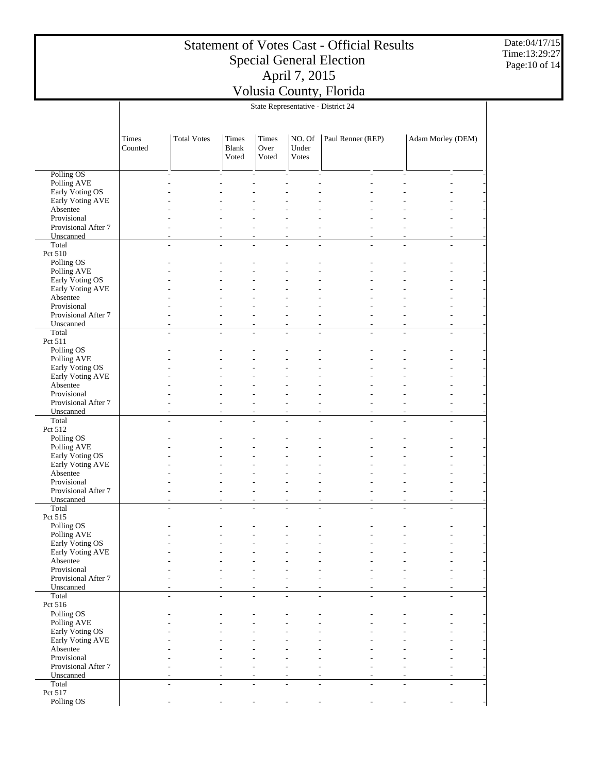Date:04/17/15 Time:13:29:27 Page:10 of 14

|                                     |                  | State Representative - District 24 |                                |                               |                                            |                                  |                               |                                                      |  |  |  |  |
|-------------------------------------|------------------|------------------------------------|--------------------------------|-------------------------------|--------------------------------------------|----------------------------------|-------------------------------|------------------------------------------------------|--|--|--|--|
|                                     | Times<br>Counted | <b>Total Votes</b>                 | Times<br><b>Blank</b><br>Voted | <b>Times</b><br>Over<br>Voted | NO. Of<br>Under<br>Votes                   | Paul Renner (REP)                |                               | Adam Morley (DEM)                                    |  |  |  |  |
| Polling OS                          |                  | ÷                                  |                                | L.                            | $\overline{a}$                             | $\overline{a}$                   | $\overline{\phantom{a}}$<br>÷ | ÷,                                                   |  |  |  |  |
| Polling AVE                         |                  |                                    |                                |                               | ÷                                          | ä,                               | ٠                             |                                                      |  |  |  |  |
| Early Voting OS                     |                  |                                    |                                |                               |                                            |                                  |                               |                                                      |  |  |  |  |
| Early Voting AVE                    |                  |                                    |                                |                               |                                            |                                  |                               |                                                      |  |  |  |  |
| Absentee<br>Provisional             |                  |                                    |                                |                               |                                            |                                  |                               |                                                      |  |  |  |  |
| Provisional After 7                 |                  |                                    |                                |                               | $\overline{a}$                             | L,                               | ٠                             | ÷,                                                   |  |  |  |  |
| Unscanned                           |                  |                                    |                                | L,                            | $\overline{a}$                             | L,                               | ä,                            | $\overline{\phantom{a}}$                             |  |  |  |  |
| Total                               |                  | L,                                 | L,                             | $\overline{a}$                | $\overline{\phantom{a}}$                   | $\overline{\phantom{a}}$         | L,<br>L,                      | $\overline{a}$                                       |  |  |  |  |
| Pct 510                             |                  |                                    |                                |                               |                                            |                                  |                               |                                                      |  |  |  |  |
| Polling OS                          |                  |                                    |                                |                               |                                            |                                  |                               |                                                      |  |  |  |  |
| Polling AVE<br>Early Voting OS      |                  |                                    |                                |                               |                                            |                                  |                               |                                                      |  |  |  |  |
| Early Voting AVE                    |                  |                                    |                                |                               |                                            |                                  |                               |                                                      |  |  |  |  |
| Absentee                            |                  |                                    |                                |                               |                                            |                                  |                               |                                                      |  |  |  |  |
| Provisional                         |                  |                                    |                                |                               |                                            |                                  |                               |                                                      |  |  |  |  |
| Provisional After 7                 |                  |                                    |                                |                               | ÷                                          | L,                               |                               |                                                      |  |  |  |  |
| Unscanned<br>Total                  |                  | ٠                                  | $\overline{a}$                 | $\overline{a}$<br>L.          | $\overline{a}$<br>L.                       | $\overline{a}$<br>$\overline{a}$ | ٠<br>÷                        | ÷<br>÷.                                              |  |  |  |  |
| Pct 511                             |                  | ÷.                                 |                                |                               |                                            |                                  | ÷.                            |                                                      |  |  |  |  |
| Polling OS                          |                  |                                    |                                |                               |                                            |                                  |                               |                                                      |  |  |  |  |
| Polling AVE                         |                  |                                    |                                |                               |                                            |                                  |                               |                                                      |  |  |  |  |
| Early Voting OS                     |                  |                                    |                                |                               |                                            |                                  |                               |                                                      |  |  |  |  |
| Early Voting AVE                    |                  |                                    |                                |                               |                                            |                                  |                               |                                                      |  |  |  |  |
| Absentee                            |                  |                                    |                                |                               |                                            |                                  |                               |                                                      |  |  |  |  |
| Provisional<br>Provisional After 7  |                  |                                    |                                | L,                            |                                            |                                  |                               |                                                      |  |  |  |  |
| Unscanned                           |                  | ٠                                  |                                | L,                            | $\overline{\phantom{a}}$<br>$\overline{a}$ | L,<br>L,                         | ä,<br>ä,<br>÷.                | $\overline{\phantom{a}}$<br>$\overline{\phantom{a}}$ |  |  |  |  |
| Total                               |                  | ÷.                                 | $\overline{a}$                 | $\overline{a}$                | ÷                                          | $\frac{1}{2}$                    | $\overline{a}$<br>L,          | ÷,                                                   |  |  |  |  |
| Pct 512                             |                  |                                    |                                |                               |                                            |                                  |                               |                                                      |  |  |  |  |
| Polling OS                          |                  |                                    |                                |                               |                                            |                                  |                               |                                                      |  |  |  |  |
| Polling AVE                         |                  |                                    |                                |                               |                                            |                                  |                               |                                                      |  |  |  |  |
| Early Voting OS<br>Early Voting AVE |                  |                                    |                                |                               |                                            |                                  |                               |                                                      |  |  |  |  |
| Absentee                            |                  |                                    |                                |                               |                                            |                                  |                               |                                                      |  |  |  |  |
| Provisional                         |                  |                                    |                                |                               |                                            |                                  |                               |                                                      |  |  |  |  |
| Provisional After 7                 |                  |                                    |                                | L,                            | $\overline{a}$                             | $\overline{a}$                   |                               | ÷                                                    |  |  |  |  |
| Unscanned                           |                  | ÷                                  | $\sim$                         | ÷,                            | $\sim$                                     | $\overline{a}$                   | ٠<br>÷,                       | ÷,                                                   |  |  |  |  |
| Total                               |                  |                                    |                                |                               |                                            |                                  |                               | L.                                                   |  |  |  |  |
| Pct 515                             |                  |                                    |                                |                               |                                            |                                  |                               |                                                      |  |  |  |  |
| Polling OS<br>Polling AVE           |                  |                                    |                                | L,                            | $\overline{\phantom{a}}$                   | $\overline{a}$                   | ä,                            | ٠                                                    |  |  |  |  |
| Early Voting OS                     |                  |                                    |                                |                               |                                            |                                  |                               |                                                      |  |  |  |  |
| Early Voting AVE                    |                  |                                    |                                |                               |                                            |                                  |                               |                                                      |  |  |  |  |
| Absentee                            |                  |                                    |                                |                               |                                            |                                  |                               |                                                      |  |  |  |  |
| Provisional                         |                  |                                    |                                |                               |                                            |                                  |                               |                                                      |  |  |  |  |
| Provisional After 7                 |                  |                                    |                                |                               |                                            |                                  |                               |                                                      |  |  |  |  |
| Unscanned<br>Total                  |                  |                                    |                                |                               |                                            |                                  |                               | ÷.                                                   |  |  |  |  |
| Pct 516                             |                  |                                    |                                |                               |                                            |                                  |                               |                                                      |  |  |  |  |
| Polling OS                          |                  |                                    |                                |                               |                                            |                                  |                               |                                                      |  |  |  |  |
| Polling AVE                         |                  |                                    |                                |                               |                                            |                                  |                               |                                                      |  |  |  |  |
| Early Voting OS                     |                  |                                    |                                |                               |                                            |                                  |                               |                                                      |  |  |  |  |
| Early Voting AVE                    |                  |                                    |                                |                               |                                            |                                  |                               |                                                      |  |  |  |  |
| Absentee                            |                  |                                    |                                |                               |                                            |                                  |                               |                                                      |  |  |  |  |
| Provisional<br>Provisional After 7  |                  |                                    |                                |                               |                                            |                                  |                               |                                                      |  |  |  |  |
| Unscanned                           |                  |                                    |                                |                               |                                            |                                  |                               |                                                      |  |  |  |  |
| Total                               |                  |                                    |                                |                               | $\sim$                                     | $\overline{a}$                   | L,<br>÷,                      | $\overline{a}$                                       |  |  |  |  |
| Pct 517                             |                  |                                    |                                |                               |                                            |                                  |                               |                                                      |  |  |  |  |
| Polling OS                          |                  |                                    |                                |                               |                                            |                                  |                               |                                                      |  |  |  |  |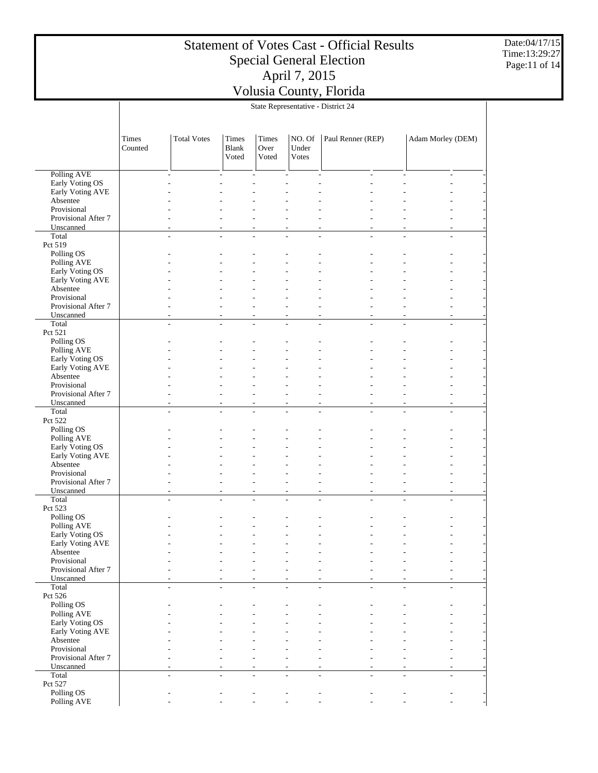Date:04/17/15 Time:13:29:27 Page:11 of 14

|                                  | State Representative - District 24 |                    |                                |                        |                          |                   |                |                                  |  |  |
|----------------------------------|------------------------------------|--------------------|--------------------------------|------------------------|--------------------------|-------------------|----------------|----------------------------------|--|--|
|                                  | Times<br>Counted                   | <b>Total Votes</b> | Times<br><b>Blank</b><br>Voted | Times<br>Over<br>Voted | NO. Of<br>Under<br>Votes | Paul Renner (REP) |                | Adam Morley (DEM)                |  |  |
| <b>Polling AVE</b>               |                                    | ٠                  |                                | ÷,                     |                          | ÷,                | $\overline{a}$ | $\overline{a}$                   |  |  |
| Early Voting OS                  |                                    |                    |                                |                        |                          |                   |                |                                  |  |  |
| Early Voting AVE                 |                                    |                    |                                |                        |                          |                   |                |                                  |  |  |
| Absentee                         |                                    |                    |                                |                        |                          |                   |                |                                  |  |  |
| Provisional                      |                                    |                    |                                |                        |                          |                   |                |                                  |  |  |
| Provisional After 7              |                                    |                    |                                |                        |                          |                   |                |                                  |  |  |
| Unscanned                        |                                    |                    |                                |                        |                          |                   |                | L.                               |  |  |
| Total                            |                                    |                    | L.                             | J.                     | ÷.                       | L.                | L.             | L.                               |  |  |
| Pct 519                          |                                    |                    |                                |                        |                          |                   |                |                                  |  |  |
| Polling OS                       |                                    |                    |                                |                        |                          |                   |                |                                  |  |  |
| Polling AVE<br>Early Voting OS   |                                    |                    |                                |                        |                          |                   |                |                                  |  |  |
| Early Voting AVE                 |                                    |                    |                                |                        |                          |                   |                |                                  |  |  |
| Absentee                         |                                    |                    |                                |                        |                          |                   |                |                                  |  |  |
| Provisional                      |                                    |                    |                                |                        |                          |                   |                |                                  |  |  |
| Provisional After 7              |                                    |                    |                                |                        |                          |                   |                | L.                               |  |  |
| Unscanned                        |                                    |                    | $\overline{a}$                 |                        | $\overline{a}$           | L,                |                | ÷                                |  |  |
| Total                            |                                    |                    | ٠                              |                        |                          | J.                |                | L.                               |  |  |
| Pct 521                          |                                    |                    |                                |                        |                          |                   |                |                                  |  |  |
| Polling OS                       |                                    |                    |                                |                        |                          |                   |                |                                  |  |  |
| Polling AVE                      |                                    |                    |                                |                        |                          |                   |                |                                  |  |  |
| Early Voting OS                  |                                    |                    |                                |                        |                          |                   |                |                                  |  |  |
| Early Voting AVE                 |                                    |                    |                                |                        |                          |                   |                |                                  |  |  |
| Absentee<br>Provisional          |                                    |                    |                                |                        |                          |                   |                |                                  |  |  |
| Provisional After 7              |                                    |                    |                                |                        |                          |                   |                | ۷                                |  |  |
| Unscanned                        |                                    |                    | L,                             |                        | $\overline{a}$           | L,                |                | L                                |  |  |
| Total                            |                                    |                    | L.                             |                        |                          |                   |                | L.                               |  |  |
| Pct 522                          |                                    |                    |                                |                        |                          |                   |                |                                  |  |  |
| Polling OS                       |                                    |                    |                                |                        |                          |                   |                |                                  |  |  |
| Polling AVE                      |                                    |                    |                                |                        |                          |                   |                |                                  |  |  |
| Early Voting OS                  |                                    |                    |                                |                        |                          |                   |                |                                  |  |  |
| Early Voting AVE                 |                                    |                    |                                |                        |                          |                   |                |                                  |  |  |
| Absentee                         |                                    |                    |                                |                        |                          |                   |                |                                  |  |  |
| Provisional                      |                                    |                    |                                |                        |                          |                   |                |                                  |  |  |
| Provisional After 7<br>Unscanned |                                    |                    |                                |                        |                          |                   |                | $\overline{a}$<br>$\overline{a}$ |  |  |
| Total                            |                                    |                    | L,                             | L,                     |                          | Ĭ.                |                | $\overline{a}$                   |  |  |
| Pct 523                          |                                    |                    |                                |                        |                          |                   |                |                                  |  |  |
| Polling OS                       |                                    |                    |                                |                        |                          |                   |                |                                  |  |  |
| Polling AVE                      |                                    |                    |                                |                        |                          |                   |                |                                  |  |  |
| Early Voting OS                  |                                    |                    |                                |                        | $\overline{a}$           |                   |                |                                  |  |  |
| Early Voting AVE                 |                                    |                    |                                |                        |                          |                   |                |                                  |  |  |
| Absentee                         |                                    |                    |                                |                        |                          |                   |                |                                  |  |  |
| Provisional                      |                                    |                    |                                |                        |                          |                   |                |                                  |  |  |
| Provisional After 7              |                                    |                    |                                |                        |                          |                   |                |                                  |  |  |
| Unscanned<br>Total               |                                    |                    |                                |                        |                          |                   |                | L.                               |  |  |
| Pct 526                          |                                    |                    |                                |                        |                          |                   |                |                                  |  |  |
| Polling OS                       |                                    |                    |                                |                        |                          |                   |                |                                  |  |  |
| Polling AVE                      |                                    |                    |                                |                        |                          |                   |                |                                  |  |  |
| Early Voting OS                  |                                    |                    |                                |                        |                          |                   |                |                                  |  |  |
| Early Voting AVE                 |                                    |                    |                                |                        |                          |                   |                |                                  |  |  |
| Absentee                         |                                    |                    |                                |                        |                          |                   |                |                                  |  |  |
| Provisional                      |                                    |                    |                                |                        |                          |                   |                |                                  |  |  |
| Provisional After 7              |                                    |                    |                                |                        |                          |                   |                |                                  |  |  |
| Unscanned                        |                                    |                    |                                |                        |                          |                   |                |                                  |  |  |
| Total                            |                                    |                    | $\overline{a}$                 | J.                     |                          | J.                |                | L.                               |  |  |
| Pct 527                          |                                    |                    |                                |                        |                          |                   |                |                                  |  |  |
| Polling OS<br>Polling AVE        |                                    |                    |                                |                        |                          |                   |                |                                  |  |  |
|                                  |                                    |                    |                                |                        |                          |                   |                |                                  |  |  |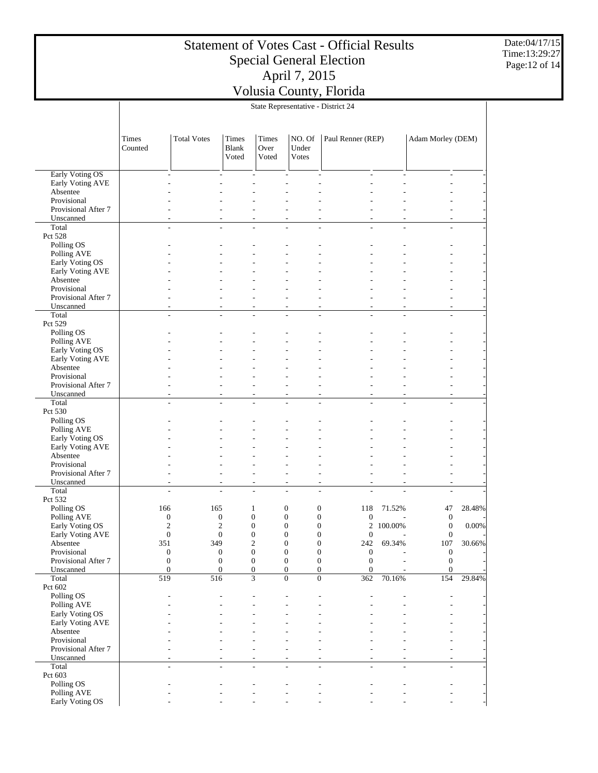Date:04/17/15 Time:13:29:27 Page:12 of 14

|                                    | State Representative - District 24 |                                  |                                      |                          |                                      |                                                                 |                                |                                  |        |  |
|------------------------------------|------------------------------------|----------------------------------|--------------------------------------|--------------------------|--------------------------------------|-----------------------------------------------------------------|--------------------------------|----------------------------------|--------|--|
|                                    | Times<br>Counted                   | <b>Total Votes</b>               | Times<br><b>Blank</b><br>Voted       | Times<br>Over<br>Voted   | NO. Of<br>Under<br><b>Votes</b>      | Paul Renner (REP)                                               |                                | Adam Morley (DEM)                |        |  |
| Early Voting OS                    |                                    |                                  |                                      | $\overline{\phantom{a}}$ | $\overline{a}$                       | $\overline{a}$<br>ä,                                            | L,                             | $\overline{\phantom{a}}$         |        |  |
| Early Voting AVE                   |                                    |                                  |                                      |                          |                                      |                                                                 |                                |                                  |        |  |
| Absentee                           |                                    |                                  |                                      |                          |                                      |                                                                 |                                |                                  |        |  |
| Provisional                        |                                    |                                  |                                      |                          |                                      |                                                                 |                                |                                  |        |  |
| Provisional After 7                |                                    |                                  |                                      |                          |                                      |                                                                 |                                |                                  |        |  |
| Unscanned<br>Total                 |                                    |                                  |                                      | $\overline{\phantom{a}}$ | $\overline{\phantom{a}}$             | $\overline{\phantom{a}}$<br>٠                                   | ٠                              | ÷,                               |        |  |
| Pct 528                            |                                    | ÷                                | $\overline{a}$                       | $\overline{a}$           | L.                                   | $\overline{a}$<br>٠                                             | L,                             | $\overline{a}$                   |        |  |
| Polling OS                         |                                    |                                  |                                      |                          |                                      |                                                                 |                                |                                  |        |  |
| Polling AVE                        |                                    |                                  |                                      |                          |                                      |                                                                 |                                |                                  |        |  |
| Early Voting OS                    |                                    |                                  |                                      |                          |                                      |                                                                 |                                |                                  |        |  |
| Early Voting AVE                   |                                    |                                  |                                      |                          |                                      |                                                                 |                                |                                  |        |  |
| Absentee                           |                                    |                                  |                                      |                          |                                      |                                                                 |                                |                                  |        |  |
| Provisional                        |                                    |                                  |                                      |                          |                                      |                                                                 |                                |                                  |        |  |
| Provisional After 7                |                                    |                                  |                                      |                          | ٠                                    | $\overline{\phantom{a}}$                                        |                                | ٠                                |        |  |
| Unscanned<br>Total                 |                                    | $\overline{a}$                   | $\overline{a}$                       | ÷,<br>$\overline{a}$     | $\overline{a}$<br>$\overline{a}$     | $\overline{a}$<br>ä,<br>$\overline{\phantom{a}}$<br>ä,          | L,<br>$\overline{\phantom{a}}$ | ÷,<br>$\overline{a}$             |        |  |
| Pct 529                            |                                    |                                  |                                      |                          |                                      |                                                                 |                                |                                  |        |  |
| Polling OS                         |                                    |                                  |                                      |                          |                                      |                                                                 |                                |                                  |        |  |
| Polling AVE                        |                                    |                                  |                                      |                          |                                      |                                                                 |                                |                                  |        |  |
| Early Voting OS                    |                                    |                                  |                                      |                          |                                      |                                                                 |                                |                                  |        |  |
| Early Voting AVE                   |                                    |                                  |                                      |                          |                                      |                                                                 |                                |                                  |        |  |
| Absentee                           |                                    |                                  |                                      |                          |                                      |                                                                 |                                |                                  |        |  |
| Provisional                        |                                    |                                  |                                      |                          |                                      |                                                                 |                                |                                  |        |  |
| Provisional After 7<br>Unscanned   |                                    |                                  | ٠                                    | $\overline{a}$           | $\overline{a}$                       | $\overline{a}$<br>ä,                                            | ٠                              | ÷,                               |        |  |
| Total                              |                                    |                                  |                                      |                          | J.                                   | $\overline{a}$                                                  | L,                             | ÷,                               |        |  |
| Pct 530                            |                                    |                                  |                                      |                          |                                      |                                                                 |                                |                                  |        |  |
| Polling OS                         |                                    |                                  |                                      |                          |                                      |                                                                 |                                |                                  |        |  |
| Polling AVE                        |                                    |                                  |                                      |                          |                                      |                                                                 |                                |                                  |        |  |
| Early Voting OS                    |                                    |                                  |                                      |                          |                                      |                                                                 |                                |                                  |        |  |
| Early Voting AVE                   |                                    |                                  |                                      |                          |                                      |                                                                 |                                |                                  |        |  |
| Absentee                           |                                    |                                  |                                      |                          |                                      |                                                                 |                                |                                  |        |  |
| Provisional<br>Provisional After 7 |                                    |                                  |                                      | $\overline{a}$           | $\overline{a}$                       | $\overline{a}$                                                  |                                | ÷                                |        |  |
| Unscanned                          |                                    |                                  | ÷,                                   | $\sim$                   | ÷,                                   | $\sim$<br>٠                                                     | L,                             | ÷,                               |        |  |
| Total                              |                                    | ÷                                | $\overline{a}$                       | $\overline{\phantom{a}}$ | $\overline{\phantom{a}}$             | $\overline{\phantom{a}}$<br>L.                                  | L,                             | ÷,                               |        |  |
| Pct 532                            |                                    |                                  |                                      |                          |                                      |                                                                 |                                |                                  |        |  |
| Polling OS                         | 166                                | 165                              |                                      | $\mathbf{1}$             | $\boldsymbol{0}$                     | $\boldsymbol{0}$<br>118                                         | 71.52%                         | 47                               | 28.48% |  |
| Polling AVE                        |                                    | $\boldsymbol{0}$                 | $\boldsymbol{0}$                     | $\boldsymbol{0}$         | $\boldsymbol{0}$                     | $\boldsymbol{0}$<br>$\boldsymbol{0}$                            |                                | $\boldsymbol{0}$                 |        |  |
| Early Voting OS                    |                                    | $\mathbf{2}$                     | $\overline{c}$                       | $\boldsymbol{0}$         | $\mathbf{0}$                         | $\boldsymbol{0}$<br>2                                           | 100.00%                        | $\boldsymbol{0}$                 | 0.00%  |  |
| Early Voting AVE                   |                                    | $\boldsymbol{0}$                 | $\boldsymbol{0}$                     | $\boldsymbol{0}$         | $\overline{0}$                       | $\boldsymbol{0}$<br>$\boldsymbol{0}$                            | ÷,                             | $\mathbf{0}$                     |        |  |
| Absentee<br>Provisional            | 351                                | 349                              |                                      | 2<br>$\boldsymbol{0}$    | $\boldsymbol{0}$<br>$\boldsymbol{0}$ | $\boldsymbol{0}$<br>242<br>$\boldsymbol{0}$<br>$\boldsymbol{0}$ | 69.34%                         | 107                              | 30.66% |  |
| Provisional After 7                |                                    | $\boldsymbol{0}$<br>$\mathbf{0}$ | $\boldsymbol{0}$<br>$\boldsymbol{0}$ | $\boldsymbol{0}$         | $\boldsymbol{0}$                     | $\boldsymbol{0}$<br>$\boldsymbol{0}$                            |                                | $\boldsymbol{0}$<br>$\mathbf{0}$ |        |  |
| Unscanned                          |                                    | $\boldsymbol{0}$                 | $\boldsymbol{0}$                     | $\boldsymbol{0}$         | $\boldsymbol{0}$                     | $\boldsymbol{0}$<br>$\mathbf{0}$                                |                                | $\mathbf{0}$                     |        |  |
| Total                              | 519                                | 516                              |                                      | 3                        | $\boldsymbol{0}$                     | $\boldsymbol{0}$<br>362                                         | 70.16%                         | 154                              | 29.84% |  |
| Pct 602                            |                                    |                                  |                                      |                          |                                      |                                                                 |                                |                                  |        |  |
| Polling OS                         |                                    |                                  |                                      |                          |                                      |                                                                 |                                |                                  |        |  |
| Polling AVE                        |                                    |                                  |                                      |                          |                                      |                                                                 |                                |                                  |        |  |
| Early Voting OS                    |                                    |                                  |                                      |                          |                                      |                                                                 |                                |                                  |        |  |
| Early Voting AVE                   |                                    |                                  |                                      |                          |                                      |                                                                 |                                |                                  |        |  |
| Absentee<br>Provisional            |                                    |                                  |                                      |                          |                                      |                                                                 |                                |                                  |        |  |
| Provisional After 7                |                                    |                                  |                                      |                          |                                      |                                                                 |                                |                                  |        |  |
| Unscanned                          |                                    |                                  |                                      |                          |                                      |                                                                 |                                |                                  |        |  |
| Total                              |                                    |                                  |                                      |                          |                                      |                                                                 |                                | ÷                                |        |  |
| Pct 603                            |                                    |                                  |                                      |                          |                                      |                                                                 |                                |                                  |        |  |
| Polling OS                         |                                    |                                  |                                      |                          |                                      |                                                                 |                                |                                  |        |  |
| Polling AVE                        |                                    |                                  |                                      |                          |                                      |                                                                 |                                |                                  |        |  |

- - - - - - - - -

Early Voting OS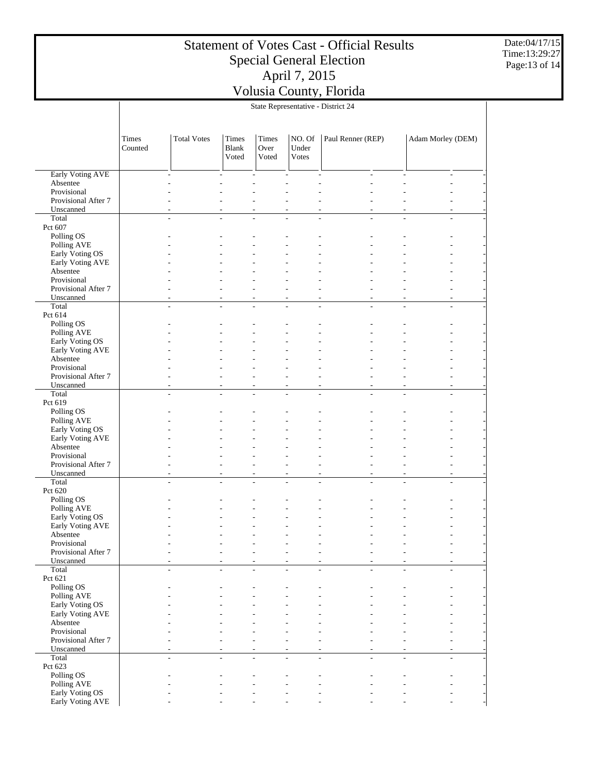Date:04/17/15 Time:13:29:27 Page:13 of 14

|                                     | State Representative - District 24 |                    |                         |                               |                          |                          |          |                          |  |  |
|-------------------------------------|------------------------------------|--------------------|-------------------------|-------------------------------|--------------------------|--------------------------|----------|--------------------------|--|--|
|                                     | Times<br>Counted                   | <b>Total Votes</b> | Times<br>Blank<br>Voted | Times<br>Over<br>Voted        | NO. Of<br>Under<br>Votes | Paul Renner (REP)        |          | Adam Morley (DEM)        |  |  |
| Early Voting AVE                    |                                    |                    |                         | $\overline{\phantom{a}}$      | $\overline{a}$           | $\overline{\phantom{a}}$ | L,<br>L, | $\overline{\phantom{a}}$ |  |  |
| Absentee                            |                                    |                    |                         |                               |                          |                          |          |                          |  |  |
| Provisional                         |                                    |                    |                         |                               |                          |                          |          |                          |  |  |
| Provisional After 7                 |                                    |                    |                         |                               |                          |                          |          |                          |  |  |
| Unscanned<br>Total                  |                                    |                    |                         |                               | ÷,                       |                          | L.<br>L, | ÷,<br>L,                 |  |  |
| Pct 607                             |                                    |                    |                         |                               |                          |                          |          |                          |  |  |
| Polling OS                          |                                    |                    |                         |                               |                          |                          |          |                          |  |  |
| Polling AVE                         |                                    |                    |                         |                               |                          |                          |          |                          |  |  |
| Early Voting OS                     |                                    |                    |                         |                               |                          |                          |          |                          |  |  |
| Early Voting AVE                    |                                    |                    |                         |                               |                          |                          |          |                          |  |  |
| Absentee                            |                                    |                    |                         |                               |                          |                          |          |                          |  |  |
| Provisional<br>Provisional After 7  |                                    |                    |                         |                               |                          |                          |          |                          |  |  |
| Unscanned                           |                                    |                    |                         |                               | ÷,                       |                          | ٠        | ÷,                       |  |  |
| Total                               |                                    |                    | L,                      | L,                            | ÷,                       | $\overline{a}$           | L.       | ÷,<br>÷.                 |  |  |
| Pct 614                             |                                    |                    |                         |                               |                          |                          |          |                          |  |  |
| Polling OS                          |                                    |                    |                         |                               |                          |                          |          |                          |  |  |
| Polling AVE                         |                                    |                    |                         |                               |                          |                          |          |                          |  |  |
| Early Voting OS<br>Early Voting AVE |                                    |                    |                         |                               |                          |                          |          |                          |  |  |
| Absentee                            |                                    |                    |                         |                               |                          |                          |          |                          |  |  |
| Provisional                         |                                    |                    |                         |                               |                          |                          |          |                          |  |  |
| Provisional After 7                 |                                    |                    |                         |                               | J.                       |                          |          |                          |  |  |
| Unscanned                           |                                    |                    |                         | $\overline{a}$                | $\overline{a}$           |                          | ÷.       | ÷,                       |  |  |
| Total                               |                                    |                    |                         |                               | L,                       | $\overline{a}$           | L,       | L,                       |  |  |
| Pct 619                             |                                    |                    |                         |                               |                          |                          |          |                          |  |  |
| Polling OS<br>Polling AVE           |                                    |                    |                         |                               |                          |                          |          |                          |  |  |
| Early Voting OS                     |                                    |                    |                         |                               |                          |                          |          |                          |  |  |
| Early Voting AVE                    |                                    |                    |                         |                               |                          |                          |          |                          |  |  |
| Absentee                            |                                    |                    |                         |                               |                          |                          |          |                          |  |  |
| Provisional                         |                                    |                    |                         |                               |                          |                          |          |                          |  |  |
| Provisional After 7                 |                                    |                    |                         |                               |                          |                          |          |                          |  |  |
| Unscanned<br>Total                  |                                    |                    | ÷                       | $\overline{\phantom{a}}$<br>÷ | ÷,<br>L.                 | ٠<br>÷                   | L,<br>٠  | L,<br>÷<br>L.            |  |  |
| Pct 620                             |                                    |                    |                         |                               |                          |                          |          |                          |  |  |
| Polling OS                          |                                    |                    |                         |                               |                          |                          |          |                          |  |  |
| Polling AVE                         |                                    |                    |                         |                               |                          |                          |          |                          |  |  |
| Early Voting OS                     |                                    |                    |                         |                               |                          |                          |          |                          |  |  |
| Early Voting AVE                    |                                    |                    |                         |                               |                          |                          |          |                          |  |  |
| Absentee                            |                                    |                    |                         |                               |                          |                          |          |                          |  |  |
| Provisional<br>Provisional After 7  |                                    |                    |                         |                               |                          |                          |          |                          |  |  |
| Unscanned                           |                                    |                    |                         |                               |                          |                          |          |                          |  |  |
| Total                               |                                    | ÷                  |                         | $\overline{a}$                | $\overline{a}$           | $\overline{a}$           |          | $\sim$                   |  |  |
| Pct 621                             |                                    |                    |                         |                               |                          |                          |          |                          |  |  |
| Polling OS                          |                                    |                    |                         |                               |                          |                          |          |                          |  |  |
| Polling AVE<br>Early Voting OS      |                                    |                    |                         |                               |                          |                          |          |                          |  |  |
| Early Voting AVE                    |                                    |                    |                         |                               |                          |                          |          |                          |  |  |
| Absentee                            |                                    |                    |                         |                               |                          |                          |          |                          |  |  |
| Provisional                         |                                    |                    |                         |                               |                          |                          |          |                          |  |  |
| Provisional After 7                 |                                    |                    |                         |                               |                          |                          |          |                          |  |  |
| Unscanned                           |                                    |                    |                         |                               |                          |                          |          |                          |  |  |
| Total                               |                                    |                    |                         |                               | $\overline{a}$           |                          |          | ÷,                       |  |  |
| Pct 623<br>Polling OS               |                                    |                    |                         |                               |                          |                          |          |                          |  |  |
| Polling AVE                         |                                    |                    |                         |                               |                          |                          |          |                          |  |  |
| Early Voting OS                     |                                    |                    |                         |                               |                          |                          |          |                          |  |  |
| Early Voting AVE                    |                                    |                    |                         |                               |                          |                          |          |                          |  |  |